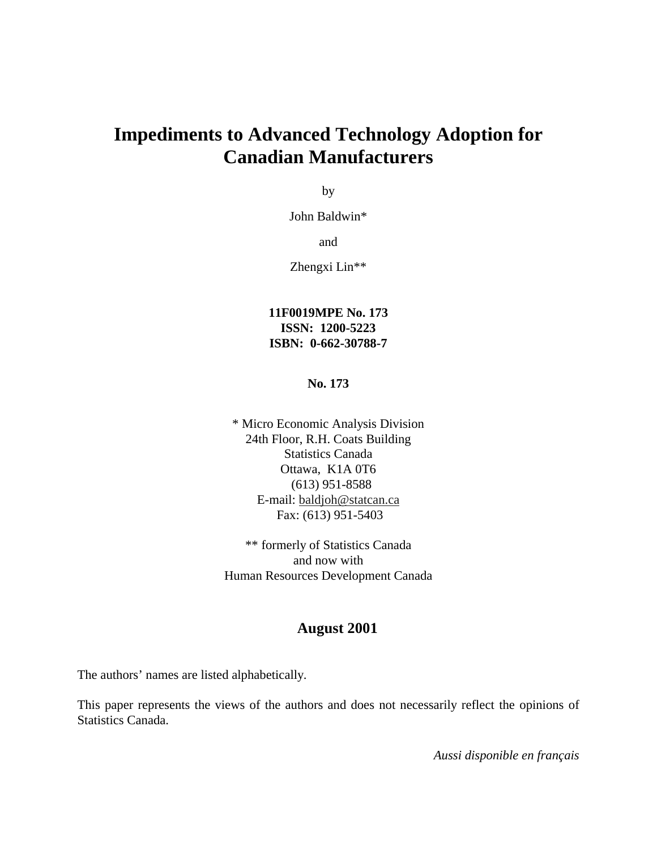# **Impediments to Advanced Technology Adoption for Canadian Manufacturers**

by

John Baldwin\*

and

Zhengxi Lin\*\*

#### **11F0019MPE No. 173 ISSN: 1200-5223 ISBN: 0-662-30788-7**

#### **No. 173**

\* Micro Economic Analysis Division 24th Floor, R.H. Coats Building Statistics Canada Ottawa, K1A 0T6 (613) 951-8588 E-mail: baldjoh@statcan.ca Fax: (613) 951-5403

\*\* formerly of Statistics Canada and now with Human Resources Development Canada

#### **August 2001**

The authors' names are listed alphabetically.

This paper represents the views of the authors and does not necessarily reflect the opinions of Statistics Canada.

*Aussi disponible en français*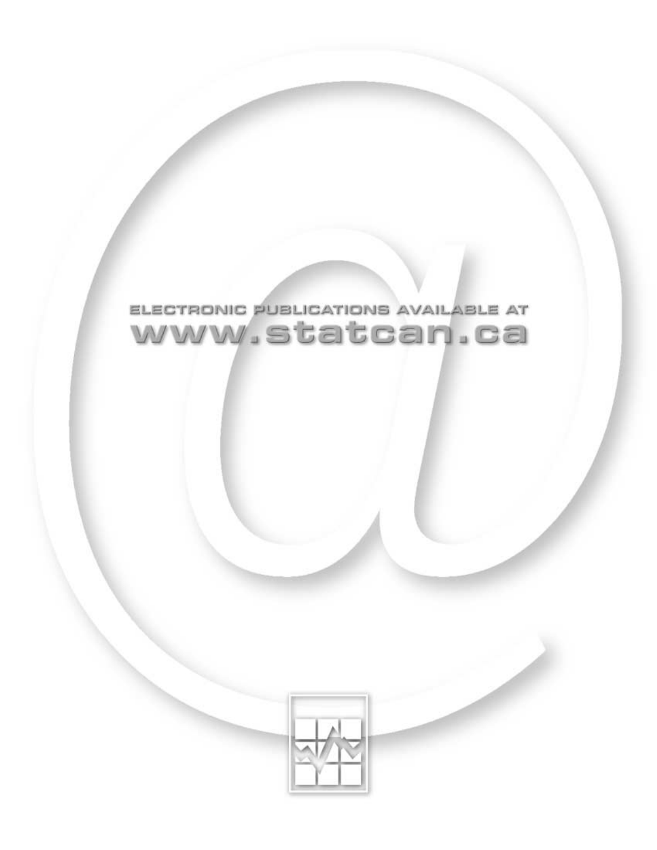

# ELECTRONIC PUBLICATIONS AVAILABLE AT www.statcan.ca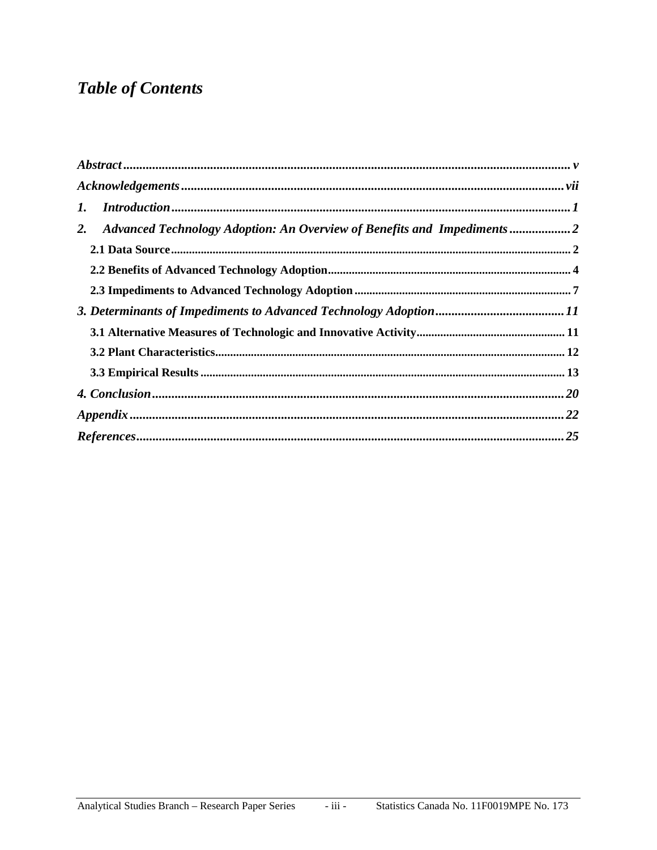# **Table of Contents**

| 1.                                                                          |  |
|-----------------------------------------------------------------------------|--|
| Advanced Technology Adoption: An Overview of Benefits and Impediments<br>2. |  |
|                                                                             |  |
|                                                                             |  |
|                                                                             |  |
|                                                                             |  |
|                                                                             |  |
|                                                                             |  |
|                                                                             |  |
|                                                                             |  |
|                                                                             |  |
| References 25                                                               |  |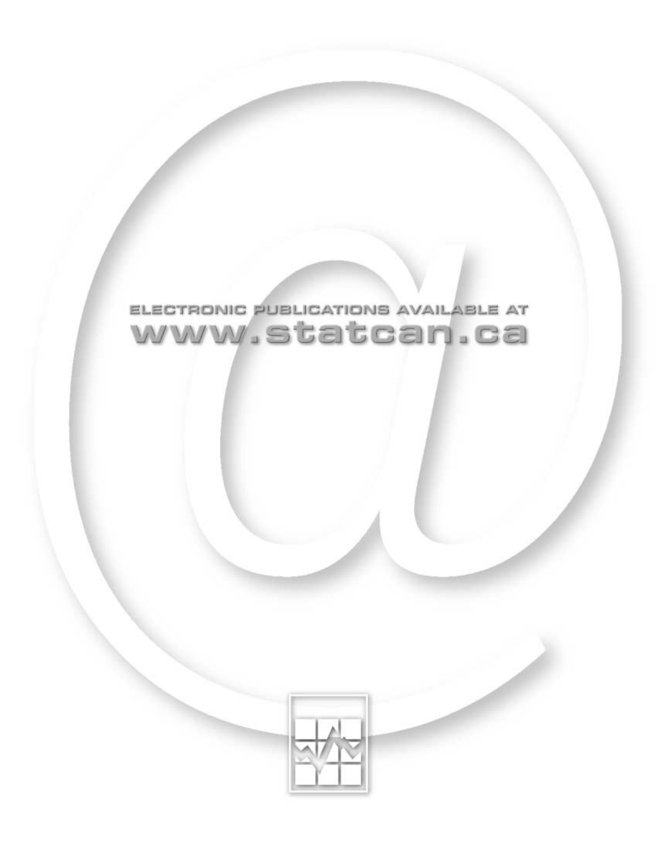

# ELECTRONIC PUBLICATIONS AVAILABLE AT www.statcan.ca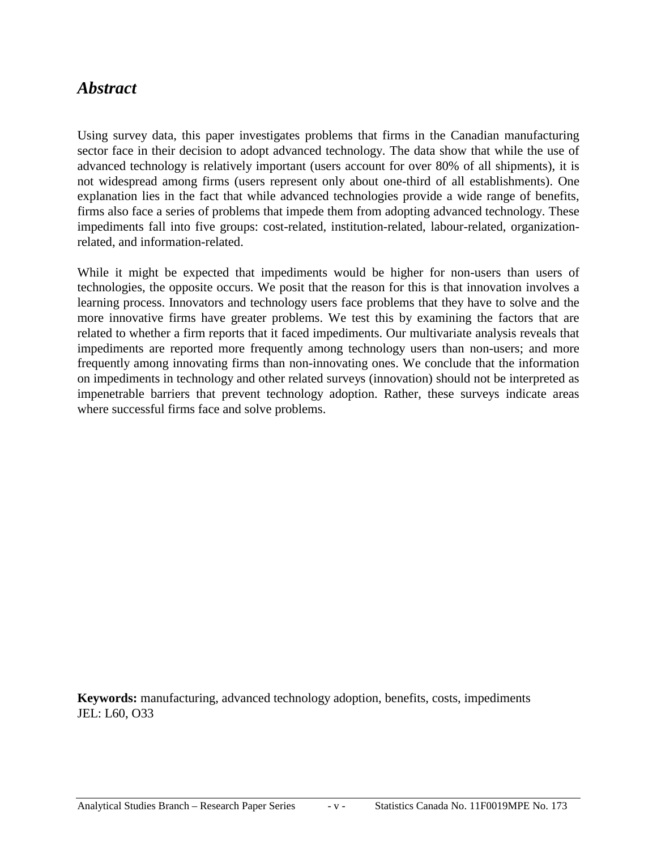## *Abstract*

Using survey data, this paper investigates problems that firms in the Canadian manufacturing sector face in their decision to adopt advanced technology. The data show that while the use of advanced technology is relatively important (users account for over 80% of all shipments), it is not widespread among firms (users represent only about one-third of all establishments). One explanation lies in the fact that while advanced technologies provide a wide range of benefits, firms also face a series of problems that impede them from adopting advanced technology. These impediments fall into five groups: cost-related, institution-related, labour-related, organizationrelated, and information-related.

While it might be expected that impediments would be higher for non-users than users of technologies, the opposite occurs. We posit that the reason for this is that innovation involves a learning process. Innovators and technology users face problems that they have to solve and the more innovative firms have greater problems. We test this by examining the factors that are related to whether a firm reports that it faced impediments. Our multivariate analysis reveals that impediments are reported more frequently among technology users than non-users; and more frequently among innovating firms than non-innovating ones. We conclude that the information on impediments in technology and other related surveys (innovation) should not be interpreted as impenetrable barriers that prevent technology adoption. Rather, these surveys indicate areas where successful firms face and solve problems.

**Keywords:** manufacturing, advanced technology adoption, benefits, costs, impediments JEL: L60, O33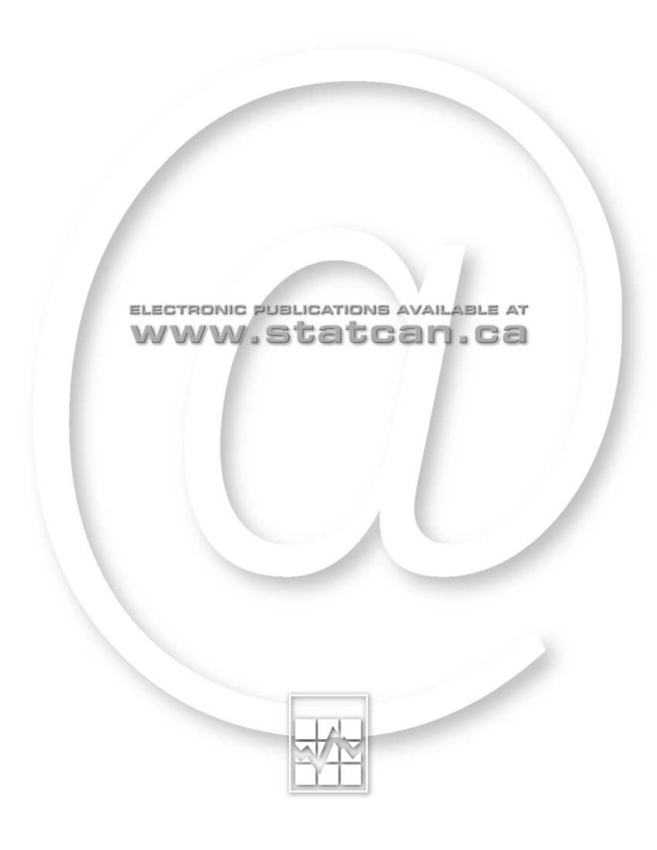

# ELECTRONIC PUBLICATIONS AVAILABLE AT www.statcan.ca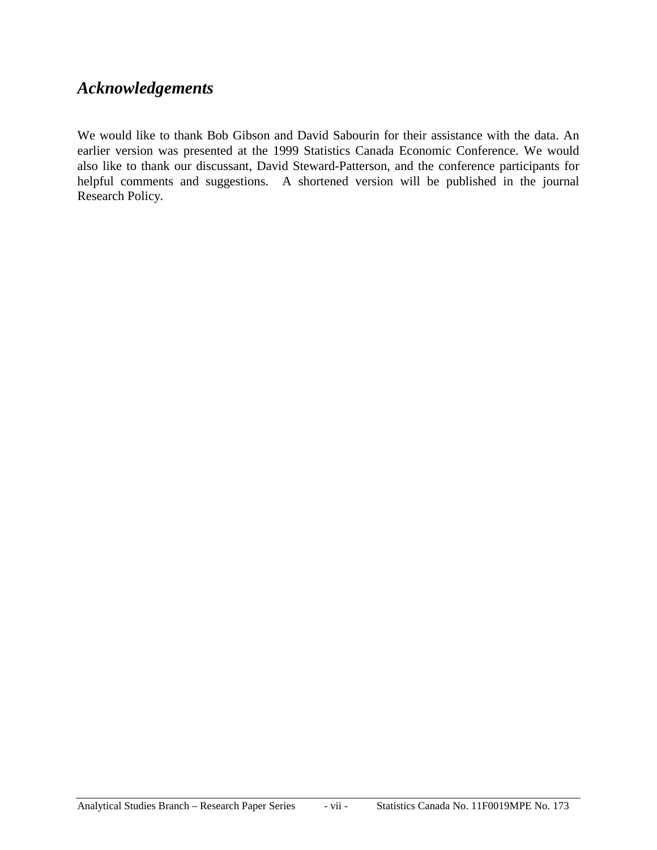## *Acknowledgements*

We would like to thank Bob Gibson and David Sabourin for their assistance with the data. An earlier version was presented at the 1999 Statistics Canada Economic Conference. We would also like to thank our discussant, David Steward-Patterson, and the conference participants for helpful comments and suggestions. A shortened version will be published in the journal Research Policy.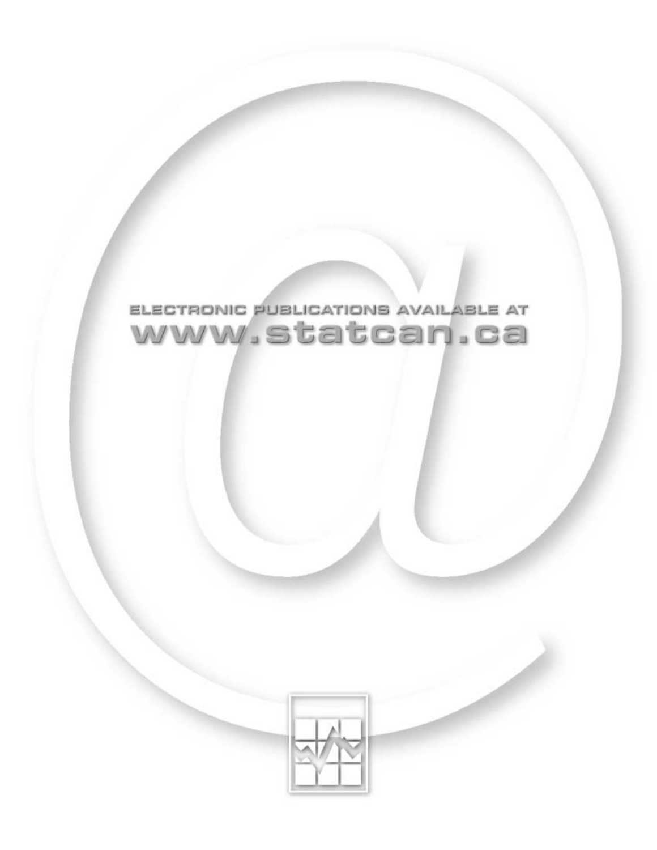

# ELECTRONIC PUBLICATIONS AVAILABLE AT www.statcan.ca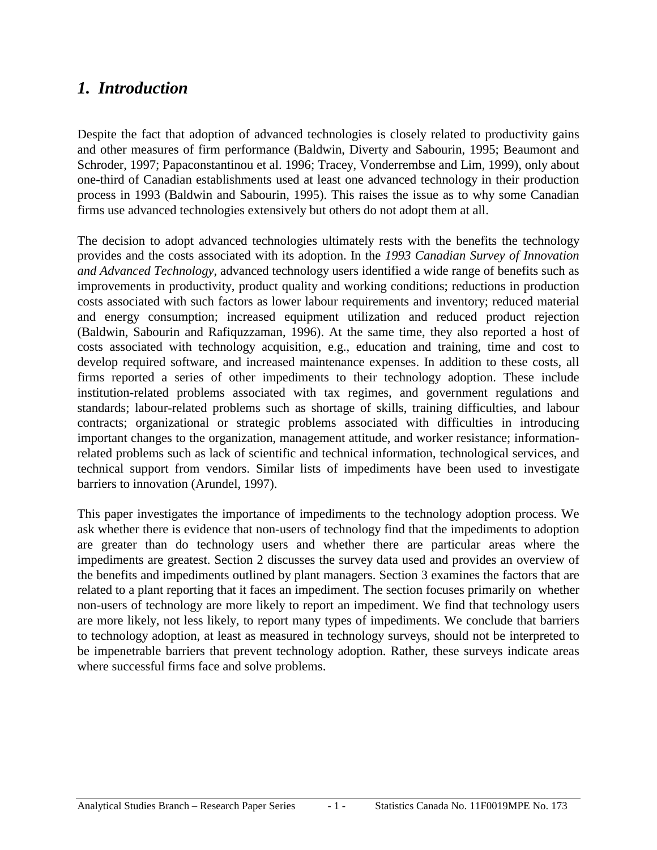## *1. Introduction*

Despite the fact that adoption of advanced technologies is closely related to productivity gains and other measures of firm performance (Baldwin, Diverty and Sabourin, 1995; Beaumont and Schroder, 1997; Papaconstantinou et al. 1996; Tracey, Vonderrembse and Lim, 1999), only about one-third of Canadian establishments used at least one advanced technology in their production process in 1993 (Baldwin and Sabourin, 1995). This raises the issue as to why some Canadian firms use advanced technologies extensively but others do not adopt them at all.

The decision to adopt advanced technologies ultimately rests with the benefits the technology provides and the costs associated with its adoption. In the *1993 Canadian Survey of Innovation and Advanced Technology*, advanced technology users identified a wide range of benefits such as improvements in productivity, product quality and working conditions; reductions in production costs associated with such factors as lower labour requirements and inventory; reduced material and energy consumption; increased equipment utilization and reduced product rejection (Baldwin, Sabourin and Rafiquzzaman, 1996). At the same time, they also reported a host of costs associated with technology acquisition, e.g., education and training, time and cost to develop required software, and increased maintenance expenses. In addition to these costs, all firms reported a series of other impediments to their technology adoption. These include institution-related problems associated with tax regimes, and government regulations and standards; labour-related problems such as shortage of skills, training difficulties, and labour contracts; organizational or strategic problems associated with difficulties in introducing important changes to the organization, management attitude, and worker resistance; informationrelated problems such as lack of scientific and technical information, technological services, and technical support from vendors. Similar lists of impediments have been used to investigate barriers to innovation (Arundel, 1997).

This paper investigates the importance of impediments to the technology adoption process. We ask whether there is evidence that non-users of technology find that the impediments to adoption are greater than do technology users and whether there are particular areas where the impediments are greatest. Section 2 discusses the survey data used and provides an overview of the benefits and impediments outlined by plant managers. Section 3 examines the factors that are related to a plant reporting that it faces an impediment. The section focuses primarily on whether non-users of technology are more likely to report an impediment. We find that technology users are more likely, not less likely, to report many types of impediments. We conclude that barriers to technology adoption, at least as measured in technology surveys, should not be interpreted to be impenetrable barriers that prevent technology adoption. Rather, these surveys indicate areas where successful firms face and solve problems.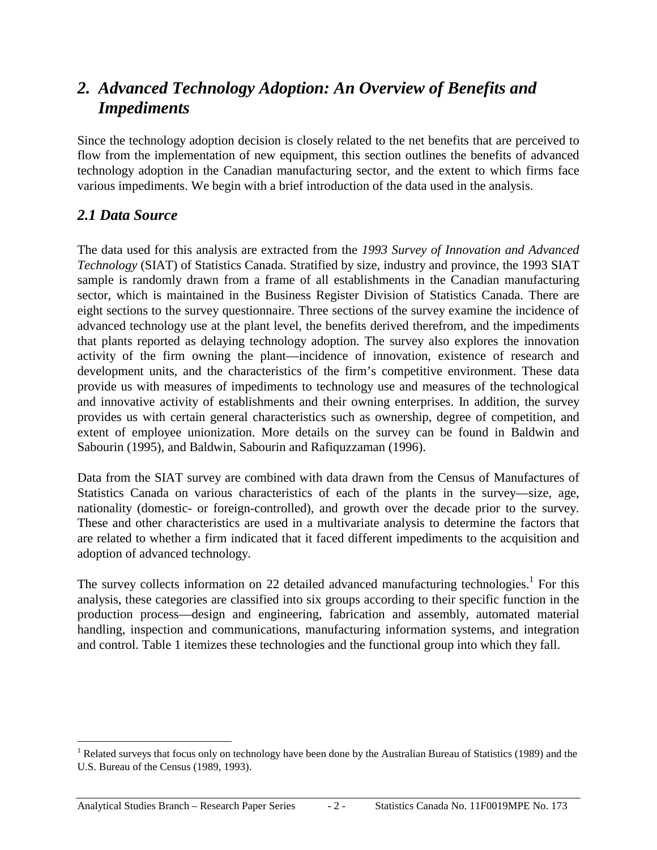# *2. Advanced Technology Adoption: An Overview of Benefits and Impediments*

Since the technology adoption decision is closely related to the net benefits that are perceived to flow from the implementation of new equipment, this section outlines the benefits of advanced technology adoption in the Canadian manufacturing sector, and the extent to which firms face various impediments. We begin with a brief introduction of the data used in the analysis.

### *2.1 Data Source*

 $\overline{a}$ 

The data used for this analysis are extracted from the *1993 Survey of Innovation and Advanced Technology* (SIAT) of Statistics Canada. Stratified by size, industry and province, the 1993 SIAT sample is randomly drawn from a frame of all establishments in the Canadian manufacturing sector, which is maintained in the Business Register Division of Statistics Canada. There are eight sections to the survey questionnaire. Three sections of the survey examine the incidence of advanced technology use at the plant level, the benefits derived therefrom, and the impediments that plants reported as delaying technology adoption. The survey also explores the innovation activity of the firm owning the plant—incidence of innovation, existence of research and development units, and the characteristics of the firm's competitive environment. These data provide us with measures of impediments to technology use and measures of the technological and innovative activity of establishments and their owning enterprises. In addition, the survey provides us with certain general characteristics such as ownership, degree of competition, and extent of employee unionization. More details on the survey can be found in Baldwin and Sabourin (1995), and Baldwin, Sabourin and Rafiquzzaman (1996).

Data from the SIAT survey are combined with data drawn from the Census of Manufactures of Statistics Canada on various characteristics of each of the plants in the survey—size, age, nationality (domestic- or foreign-controlled), and growth over the decade prior to the survey. These and other characteristics are used in a multivariate analysis to determine the factors that are related to whether a firm indicated that it faced different impediments to the acquisition and adoption of advanced technology.

The survey collects information on 22 detailed advanced manufacturing technologies.<sup>1</sup> For this analysis, these categories are classified into six groups according to their specific function in the production process—design and engineering, fabrication and assembly, automated material handling, inspection and communications, manufacturing information systems, and integration and control. Table 1 itemizes these technologies and the functional group into which they fall.

<sup>&</sup>lt;sup>1</sup> Related surveys that focus only on technology have been done by the Australian Bureau of Statistics (1989) and the U.S. Bureau of the Census (1989, 1993).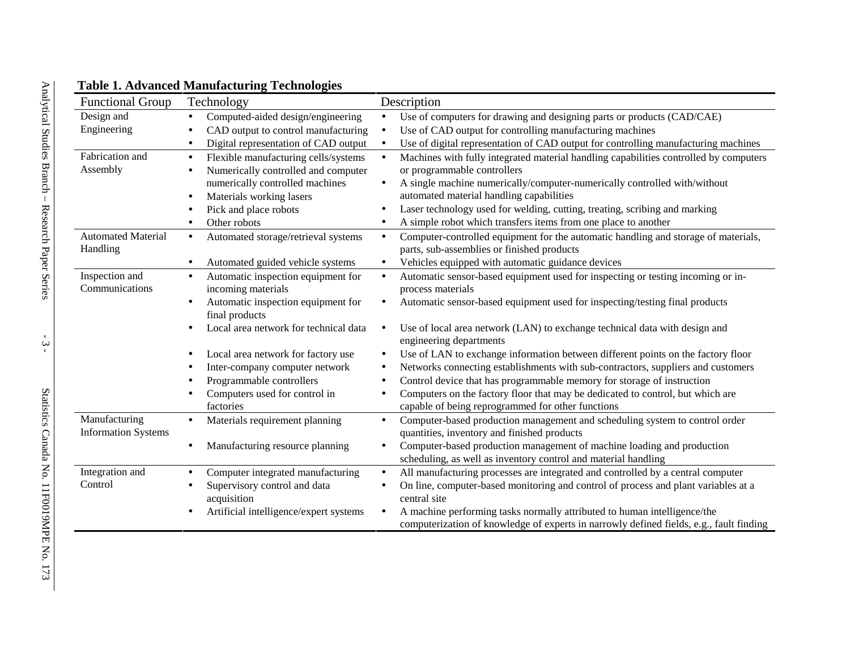| <b>Functional Group</b>               | Technology                                                            | Description                                                                                                                                                         |
|---------------------------------------|-----------------------------------------------------------------------|---------------------------------------------------------------------------------------------------------------------------------------------------------------------|
| Design and                            | Computed-aided design/engineering<br>$\bullet$                        | Use of computers for drawing and designing parts or products (CAD/CAE)<br>$\bullet$                                                                                 |
| Engineering                           | CAD output to control manufacturing                                   | Use of CAD output for controlling manufacturing machines<br>$\bullet$                                                                                               |
|                                       | Digital representation of CAD output                                  | Use of digital representation of CAD output for controlling manufacturing machines<br>$\bullet$                                                                     |
| Fabrication and                       | Flexible manufacturing cells/systems<br>$\bullet$                     | Machines with fully integrated material handling capabilities controlled by computers<br>$\bullet$                                                                  |
| Assembly                              | Numerically controlled and computer                                   | or programmable controllers                                                                                                                                         |
|                                       | numerically controlled machines                                       | A single machine numerically/computer-numerically controlled with/without                                                                                           |
|                                       | Materials working lasers                                              | automated material handling capabilities                                                                                                                            |
|                                       | Pick and place robots                                                 | Laser technology used for welding, cutting, treating, scribing and marking                                                                                          |
|                                       | Other robots<br>$\bullet$                                             | A simple robot which transfers items from one place to another<br>$\bullet$                                                                                         |
| <b>Automated Material</b><br>Handling | Automated storage/retrieval systems<br>$\bullet$                      | Computer-controlled equipment for the automatic handling and storage of materials,<br>$\bullet$<br>parts, sub-assemblies or finished products                       |
|                                       | Automated guided vehicle systems<br>$\bullet$                         | Vehicles equipped with automatic guidance devices<br>$\bullet$                                                                                                      |
| Inspection and<br>Communications      | Automatic inspection equipment for<br>$\bullet$<br>incoming materials | Automatic sensor-based equipment used for inspecting or testing incoming or in-<br>$\bullet$<br>process materials                                                   |
|                                       | Automatic inspection equipment for<br>$\bullet$<br>final products     | Automatic sensor-based equipment used for inspecting/testing final products                                                                                         |
|                                       | Local area network for technical data                                 | Use of local area network (LAN) to exchange technical data with design and<br>engineering departments                                                               |
|                                       | Local area network for factory use                                    | Use of LAN to exchange information between different points on the factory floor                                                                                    |
|                                       | Inter-company computer network                                        | Networks connecting establishments with sub-contractors, suppliers and customers<br>$\bullet$                                                                       |
|                                       | Programmable controllers                                              | Control device that has programmable memory for storage of instruction                                                                                              |
|                                       | Computers used for control in                                         | Computers on the factory floor that may be dedicated to control, but which are                                                                                      |
|                                       | factories                                                             | capable of being reprogrammed for other functions                                                                                                                   |
| Manufacturing                         | Materials requirement planning<br>$\bullet$                           | Computer-based production management and scheduling system to control order<br>$\bullet$                                                                            |
| <b>Information Systems</b>            |                                                                       | quantities, inventory and finished products                                                                                                                         |
|                                       | Manufacturing resource planning                                       | Computer-based production management of machine loading and production<br>scheduling, as well as inventory control and material handling                            |
| Integration and                       | Computer integrated manufacturing                                     | All manufacturing processes are integrated and controlled by a central computer                                                                                     |
| Control                               | Supervisory control and data                                          | On line, computer-based monitoring and control of process and plant variables at a                                                                                  |
|                                       | acquisition                                                           | central site                                                                                                                                                        |
|                                       | Artificial intelligence/expert systems                                | A machine performing tasks normally attributed to human intelligence/the<br>computerization of knowledge of experts in narrowly defined fields, e.g., fault finding |

#### **Table 1. Advanced Manufacturing Technologies**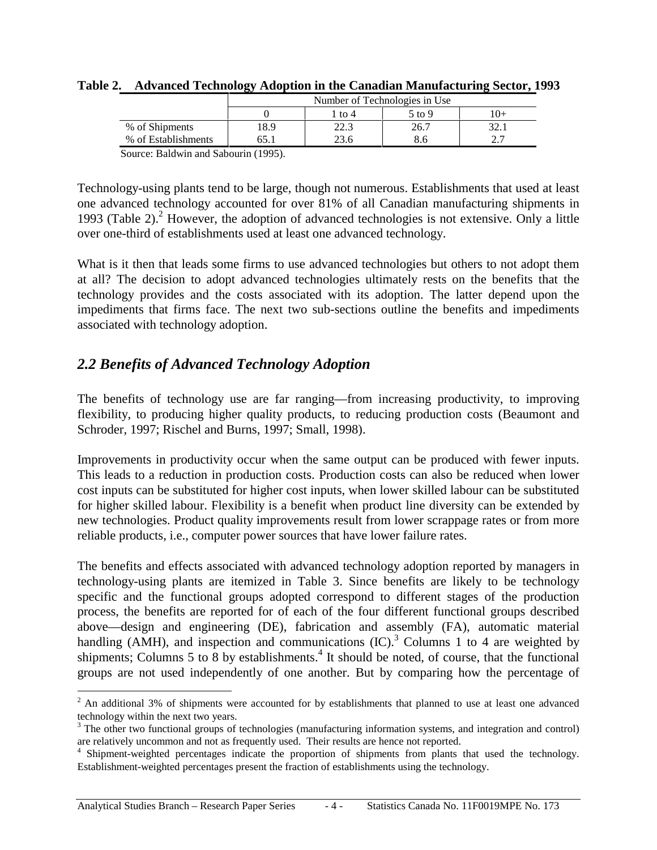|                     | Number of Technologies in Use |      |        |  |  |  |  |  |  |
|---------------------|-------------------------------|------|--------|--|--|--|--|--|--|
|                     |                               | to 4 | 5 to 9 |  |  |  |  |  |  |
| % of Shipments      | 18.9                          |      | 26.7   |  |  |  |  |  |  |
| % of Establishments |                               |      |        |  |  |  |  |  |  |

**Table 2. Advanced Technology Adoption in the Canadian Manufacturing Sector, 1993**

Source: Baldwin and Sabourin (1995).

Technology-using plants tend to be large, though not numerous. Establishments that used at least one advanced technology accounted for over 81% of all Canadian manufacturing shipments in 1993 (Table 2).<sup>2</sup> However, the adoption of advanced technologies is not extensive. Only a little over one-third of establishments used at least one advanced technology.

What is it then that leads some firms to use advanced technologies but others to not adopt them at all? The decision to adopt advanced technologies ultimately rests on the benefits that the technology provides and the costs associated with its adoption. The latter depend upon the impediments that firms face. The next two sub-sections outline the benefits and impediments associated with technology adoption.

### *2.2 Benefits of Advanced Technology Adoption*

The benefits of technology use are far ranging—from increasing productivity, to improving flexibility, to producing higher quality products, to reducing production costs (Beaumont and Schroder, 1997; Rischel and Burns, 1997; Small, 1998).

Improvements in productivity occur when the same output can be produced with fewer inputs. This leads to a reduction in production costs. Production costs can also be reduced when lower cost inputs can be substituted for higher cost inputs, when lower skilled labour can be substituted for higher skilled labour. Flexibility is a benefit when product line diversity can be extended by new technologies. Product quality improvements result from lower scrappage rates or from more reliable products, i.e., computer power sources that have lower failure rates.

The benefits and effects associated with advanced technology adoption reported by managers in technology-using plants are itemized in Table 3. Since benefits are likely to be technology specific and the functional groups adopted correspond to different stages of the production process, the benefits are reported for of each of the four different functional groups described above—design and engineering (DE), fabrication and assembly (FA), automatic material handling (AMH), and inspection and communications  ${(\text{IC})}$ .<sup>3</sup> Columns 1 to 4 are weighted by shipments; Columns 5 to 8 by establishments. $4$  It should be noted, of course, that the functional groups are not used independently of one another. But by comparing how the percentage of

<sup>&</sup>lt;sup>2</sup> An additional 3% of shipments were accounted for by establishments that planned to use at least one advanced technology within the next two years.

 $3$  The other two functional groups of technologies (manufacturing information systems, and integration and control) are relatively uncommon and not as frequently used. Their results are hence not reported.

<sup>&</sup>lt;sup>4</sup> Shipment-weighted percentages indicate the proportion of shipments from plants that used the technology. Establishment-weighted percentages present the fraction of establishments using the technology.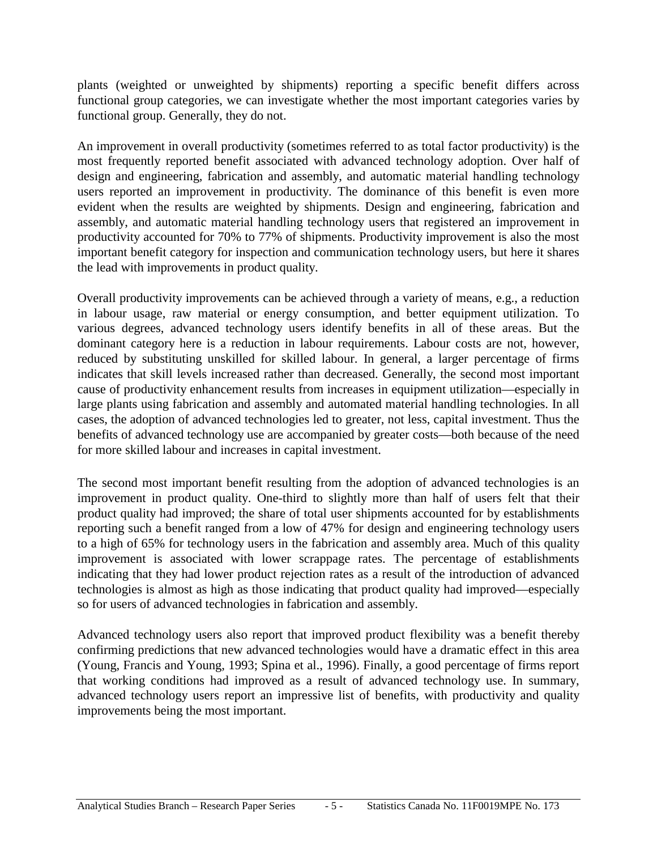plants (weighted or unweighted by shipments) reporting a specific benefit differs across functional group categories, we can investigate whether the most important categories varies by functional group. Generally, they do not.

An improvement in overall productivity (sometimes referred to as total factor productivity) is the most frequently reported benefit associated with advanced technology adoption. Over half of design and engineering, fabrication and assembly, and automatic material handling technology users reported an improvement in productivity. The dominance of this benefit is even more evident when the results are weighted by shipments. Design and engineering, fabrication and assembly, and automatic material handling technology users that registered an improvement in productivity accounted for 70% to 77% of shipments. Productivity improvement is also the most important benefit category for inspection and communication technology users, but here it shares the lead with improvements in product quality.

Overall productivity improvements can be achieved through a variety of means, e.g., a reduction in labour usage, raw material or energy consumption, and better equipment utilization. To various degrees, advanced technology users identify benefits in all of these areas. But the dominant category here is a reduction in labour requirements. Labour costs are not, however, reduced by substituting unskilled for skilled labour. In general, a larger percentage of firms indicates that skill levels increased rather than decreased. Generally, the second most important cause of productivity enhancement results from increases in equipment utilization—especially in large plants using fabrication and assembly and automated material handling technologies. In all cases, the adoption of advanced technologies led to greater, not less, capital investment. Thus the benefits of advanced technology use are accompanied by greater costs—both because of the need for more skilled labour and increases in capital investment.

The second most important benefit resulting from the adoption of advanced technologies is an improvement in product quality. One-third to slightly more than half of users felt that their product quality had improved; the share of total user shipments accounted for by establishments reporting such a benefit ranged from a low of 47% for design and engineering technology users to a high of 65% for technology users in the fabrication and assembly area. Much of this quality improvement is associated with lower scrappage rates. The percentage of establishments indicating that they had lower product rejection rates as a result of the introduction of advanced technologies is almost as high as those indicating that product quality had improved—especially so for users of advanced technologies in fabrication and assembly.

Advanced technology users also report that improved product flexibility was a benefit thereby confirming predictions that new advanced technologies would have a dramatic effect in this area (Young, Francis and Young, 1993; Spina et al., 1996). Finally, a good percentage of firms report that working conditions had improved as a result of advanced technology use. In summary, advanced technology users report an impressive list of benefits, with productivity and quality improvements being the most important.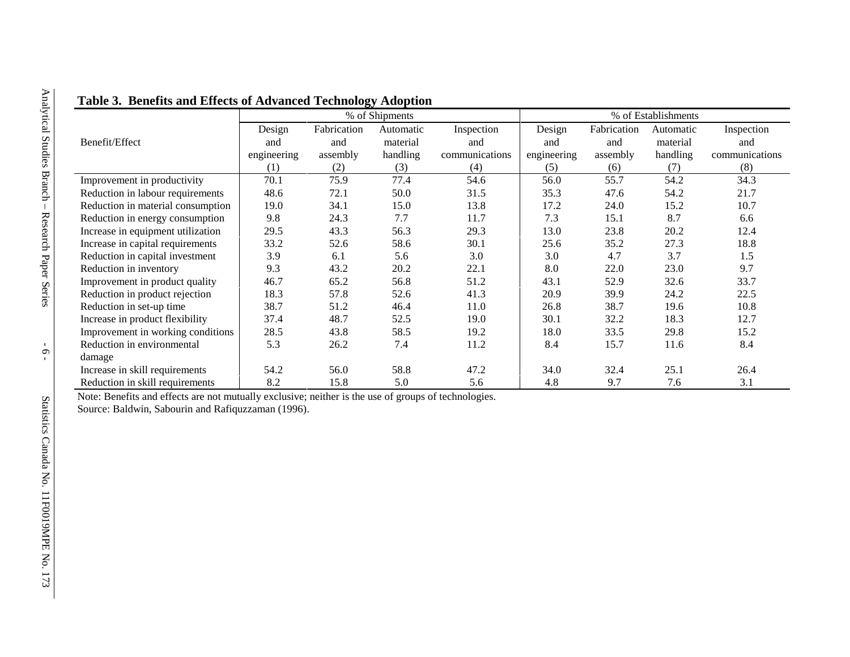|                                   |             |             | % of Shipments |                |             |             | % of Establishments |                |
|-----------------------------------|-------------|-------------|----------------|----------------|-------------|-------------|---------------------|----------------|
|                                   | Design      | Fabrication | Automatic      | Inspection     | Design      | Fabrication | Automatic           | Inspection     |
| Benefit/Effect                    | and         | and         | material       | and            | and         | and         | material            | and            |
|                                   | engineering | assembly    | handling       | communications | engineering | assembly    | handling            | communications |
|                                   | (1)         | (2)         | (3)            | (4)            | (5)         | (6)         | (7)                 | (8)            |
| Improvement in productivity       | 70.1        | 75.9        | 77.4           | 54.6           | 56.0        | 55.7        | 54.2                | 34.3           |
| Reduction in labour requirements  | 48.6        | 72.1        | 50.0           | 31.5           | 35.3        | 47.6        | 54.2                | 21.7           |
| Reduction in material consumption | 19.0        | 34.1        | 15.0           | 13.8           | 17.2        | 24.0        | 15.2                | 10.7           |
| Reduction in energy consumption   | 9.8         | 24.3        | 7.7            | 11.7           | 7.3         | 15.1        | 8.7                 | 6.6            |
| Increase in equipment utilization | 29.5        | 43.3        | 56.3           | 29.3           | 13.0        | 23.8        | 20.2                | 12.4           |
| Increase in capital requirements  | 33.2        | 52.6        | 58.6           | 30.1           | 25.6        | 35.2        | 27.3                | 18.8           |
| Reduction in capital investment   | 3.9         | 6.1         | 5.6            | 3.0            | 3.0         | 4.7         | 3.7                 | 1.5            |
| Reduction in inventory            | 9.3         | 43.2        | 20.2           | 22.1           | 8.0         | 22.0        | 23.0                | 9.7            |
| Improvement in product quality    | 46.7        | 65.2        | 56.8           | 51.2           | 43.1        | 52.9        | 32.6                | 33.7           |
| Reduction in product rejection    | 18.3        | 57.8        | 52.6           | 41.3           | 20.9        | 39.9        | 24.2                | 22.5           |
| Reduction in set-up time          | 38.7        | 51.2        | 46.4           | 11.0           | 26.8        | 38.7        | 19.6                | 10.8           |
| Increase in product flexibility   | 37.4        | 48.7        | 52.5           | 19.0           | 30.1        | 32.2        | 18.3                | 12.7           |
| Improvement in working conditions | 28.5        | 43.8        | 58.5           | 19.2           | 18.0        | 33.5        | 29.8                | 15.2           |
| Reduction in environmental        | 5.3         | 26.2        | 7.4            | 11.2           | 8.4         | 15.7        | 11.6                | 8.4            |
| damage                            |             |             |                |                |             |             |                     |                |
| Increase in skill requirements    | 54.2        | 56.0        | 58.8           | 47.2           | 34.0        | 32.4        | 25.1                | 26.4           |
| Reduction in skill requirements   | 8.2         | 15.8        | 5.0            | 5.6            | 4.8         | 9.7         | 7.6                 | 3.1            |

#### **Table 3. Benefits and Effects of Advanced Technology Adoption**

Note: Benefits and effects are not mutually exclusive; neither is the use of groups of technologies.

Source: Baldwin, Sabourin and Rafiquzzaman (1996).

 $-9-$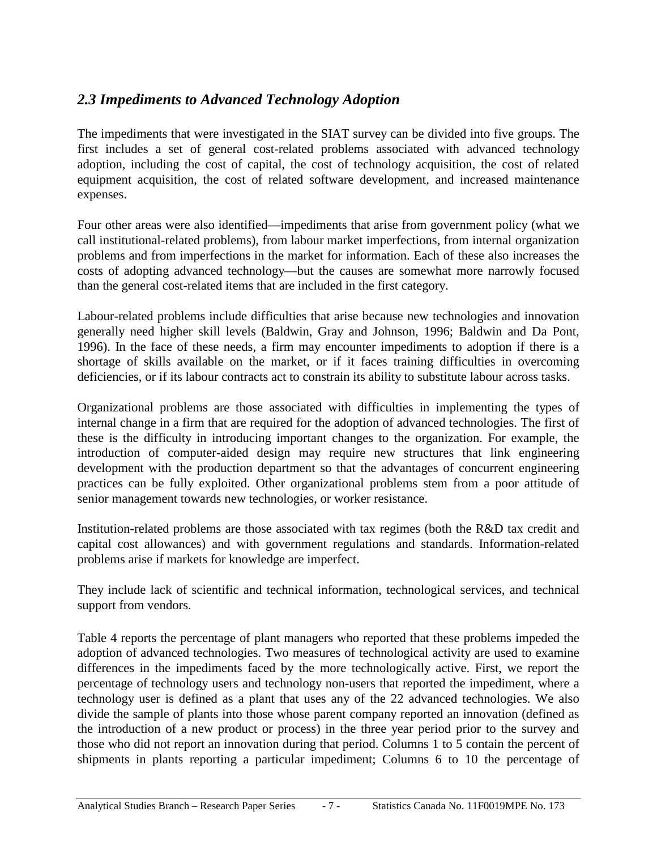### *2.3 Impediments to Advanced Technology Adoption*

The impediments that were investigated in the SIAT survey can be divided into five groups. The first includes a set of general cost-related problems associated with advanced technology adoption, including the cost of capital, the cost of technology acquisition, the cost of related equipment acquisition, the cost of related software development, and increased maintenance expenses.

Four other areas were also identified—impediments that arise from government policy (what we call institutional-related problems), from labour market imperfections, from internal organization problems and from imperfections in the market for information. Each of these also increases the costs of adopting advanced technology—but the causes are somewhat more narrowly focused than the general cost-related items that are included in the first category.

Labour-related problems include difficulties that arise because new technologies and innovation generally need higher skill levels (Baldwin, Gray and Johnson, 1996; Baldwin and Da Pont, 1996). In the face of these needs, a firm may encounter impediments to adoption if there is a shortage of skills available on the market, or if it faces training difficulties in overcoming deficiencies, or if its labour contracts act to constrain its ability to substitute labour across tasks.

Organizational problems are those associated with difficulties in implementing the types of internal change in a firm that are required for the adoption of advanced technologies. The first of these is the difficulty in introducing important changes to the organization. For example, the introduction of computer-aided design may require new structures that link engineering development with the production department so that the advantages of concurrent engineering practices can be fully exploited. Other organizational problems stem from a poor attitude of senior management towards new technologies, or worker resistance.

Institution-related problems are those associated with tax regimes (both the R&D tax credit and capital cost allowances) and with government regulations and standards. Information-related problems arise if markets for knowledge are imperfect.

They include lack of scientific and technical information, technological services, and technical support from vendors.

Table 4 reports the percentage of plant managers who reported that these problems impeded the adoption of advanced technologies. Two measures of technological activity are used to examine differences in the impediments faced by the more technologically active. First, we report the percentage of technology users and technology non-users that reported the impediment, where a technology user is defined as a plant that uses any of the 22 advanced technologies. We also divide the sample of plants into those whose parent company reported an innovation (defined as the introduction of a new product or process) in the three year period prior to the survey and those who did not report an innovation during that period. Columns 1 to 5 contain the percent of shipments in plants reporting a particular impediment; Columns 6 to 10 the percentage of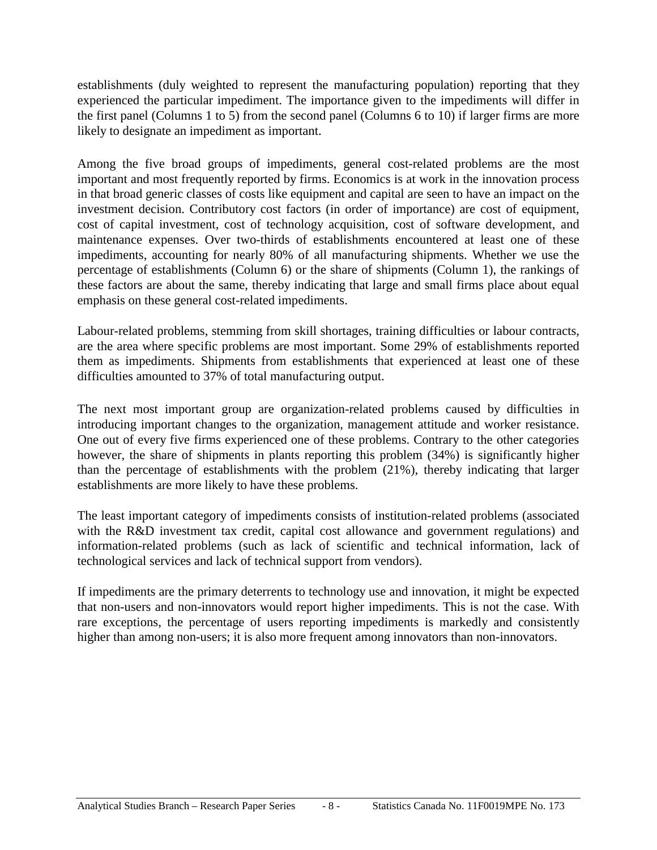establishments (duly weighted to represent the manufacturing population) reporting that they experienced the particular impediment. The importance given to the impediments will differ in the first panel (Columns 1 to 5) from the second panel (Columns 6 to 10) if larger firms are more likely to designate an impediment as important.

Among the five broad groups of impediments, general cost-related problems are the most important and most frequently reported by firms. Economics is at work in the innovation process in that broad generic classes of costs like equipment and capital are seen to have an impact on the investment decision. Contributory cost factors (in order of importance) are cost of equipment, cost of capital investment, cost of technology acquisition, cost of software development, and maintenance expenses. Over two-thirds of establishments encountered at least one of these impediments, accounting for nearly 80% of all manufacturing shipments. Whether we use the percentage of establishments (Column 6) or the share of shipments (Column 1), the rankings of these factors are about the same, thereby indicating that large and small firms place about equal emphasis on these general cost-related impediments.

Labour-related problems, stemming from skill shortages, training difficulties or labour contracts, are the area where specific problems are most important. Some 29% of establishments reported them as impediments. Shipments from establishments that experienced at least one of these difficulties amounted to 37% of total manufacturing output.

The next most important group are organization-related problems caused by difficulties in introducing important changes to the organization, management attitude and worker resistance. One out of every five firms experienced one of these problems. Contrary to the other categories however, the share of shipments in plants reporting this problem (34%) is significantly higher than the percentage of establishments with the problem (21%), thereby indicating that larger establishments are more likely to have these problems.

The least important category of impediments consists of institution-related problems (associated with the R&D investment tax credit, capital cost allowance and government regulations) and information-related problems (such as lack of scientific and technical information, lack of technological services and lack of technical support from vendors).

If impediments are the primary deterrents to technology use and innovation, it might be expected that non-users and non-innovators would report higher impediments. This is not the case. With rare exceptions, the percentage of users reporting impediments is markedly and consistently higher than among non-users; it is also more frequent among innovators than non-innovators.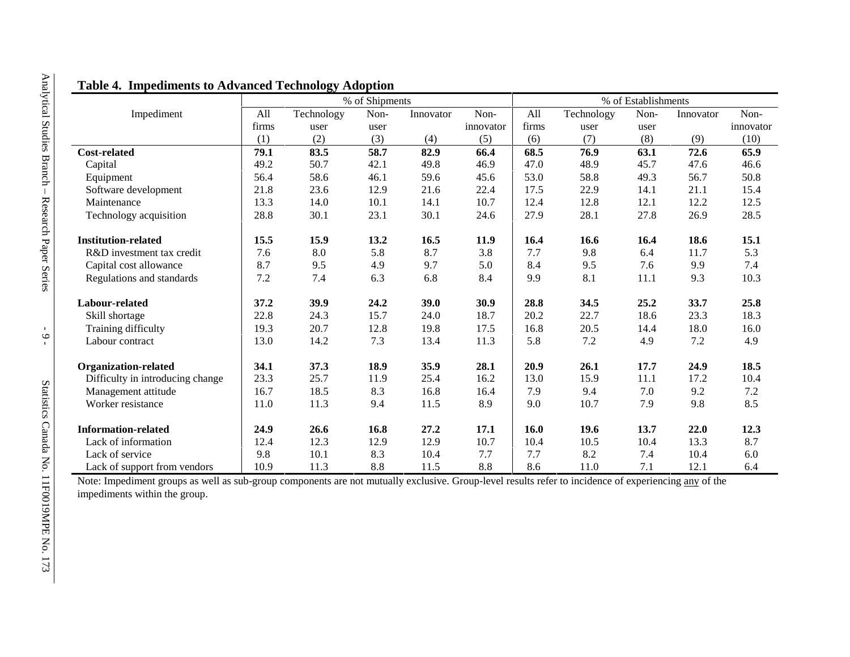|                                  |       |            | % of Shipments |           |           |       |            | % of Establishments |           |           |
|----------------------------------|-------|------------|----------------|-----------|-----------|-------|------------|---------------------|-----------|-----------|
| Impediment                       | All   | Technology | Non-           | Innovator | Non-      | All   | Technology | Non-                | Innovator | Non-      |
|                                  | firms | user       | user           |           | innovator | firms | user       | user                |           | innovator |
|                                  | (1)   | (2)        | (3)            | (4)       | (5)       | (6)   | (7)        | (8)                 | (9)       | (10)      |
| Cost-related                     | 79.1  | 83.5       | 58.7           | 82.9      | 66.4      | 68.5  | 76.9       | 63.1                | 72.6      | 65.9      |
| Capital                          | 49.2  | 50.7       | 42.1           | 49.8      | 46.9      | 47.0  | 48.9       | 45.7                | 47.6      | 46.6      |
| Equipment                        | 56.4  | 58.6       | 46.1           | 59.6      | 45.6      | 53.0  | 58.8       | 49.3                | 56.7      | 50.8      |
| Software development             | 21.8  | 23.6       | 12.9           | 21.6      | 22.4      | 17.5  | 22.9       | 14.1                | 21.1      | 15.4      |
| Maintenance                      | 13.3  | 14.0       | 10.1           | 14.1      | 10.7      | 12.4  | 12.8       | 12.1                | 12.2      | 12.5      |
| Technology acquisition           | 28.8  | 30.1       | 23.1           | 30.1      | 24.6      | 27.9  | 28.1       | 27.8                | 26.9      | 28.5      |
| <b>Institution-related</b>       | 15.5  | 15.9       | 13.2           | 16.5      | 11.9      | 16.4  | 16.6       | 16.4                | 18.6      | 15.1      |
| R&D investment tax credit        | 7.6   | 8.0        | 5.8            | 8.7       | 3.8       | 7.7   | 9.8        | 6.4                 | 11.7      | 5.3       |
| Capital cost allowance           | 8.7   | 9.5        | 4.9            | 9.7       | 5.0       | 8.4   | 9.5        | 7.6                 | 9.9       | 7.4       |
| Regulations and standards        | 7.2   | 7.4        | 6.3            | 6.8       | 8.4       | 9.9   | 8.1        | 11.1                | 9.3       | 10.3      |
| Labour-related                   | 37.2  | 39.9       | 24.2           | 39.0      | 30.9      | 28.8  | 34.5       | 25.2                | 33.7      | 25.8      |
| Skill shortage                   | 22.8  | 24.3       | 15.7           | 24.0      | 18.7      | 20.2  | 22.7       | 18.6                | 23.3      | 18.3      |
| Training difficulty              | 19.3  | 20.7       | 12.8           | 19.8      | 17.5      | 16.8  | 20.5       | 14.4                | 18.0      | 16.0      |
| Labour contract                  | 13.0  | 14.2       | 7.3            | 13.4      | 11.3      | 5.8   | 7.2        | 4.9                 | 7.2       | 4.9       |
| <b>Organization-related</b>      | 34.1  | 37.3       | 18.9           | 35.9      | 28.1      | 20.9  | 26.1       | 17.7                | 24.9      | 18.5      |
| Difficulty in introducing change | 23.3  | 25.7       | 11.9           | 25.4      | 16.2      | 13.0  | 15.9       | 11.1                | 17.2      | 10.4      |
| Management attitude              | 16.7  | 18.5       | 8.3            | 16.8      | 16.4      | 7.9   | 9.4        | 7.0                 | 9.2       | 7.2       |
| Worker resistance                | 11.0  | 11.3       | 9.4            | 11.5      | 8.9       | 9.0   | 10.7       | 7.9                 | 9.8       | 8.5       |
| <b>Information-related</b>       | 24.9  | 26.6       | 16.8           | 27.2      | 17.1      | 16.0  | 19.6       | 13.7                | 22.0      | 12.3      |
| Lack of information              | 12.4  | 12.3       | 12.9           | 12.9      | 10.7      | 10.4  | 10.5       | 10.4                | 13.3      | 8.7       |
| Lack of service                  | 9.8   | 10.1       | 8.3            | 10.4      | 7.7       | 7.7   | 8.2        | 7.4                 | 10.4      | 6.0       |
| Lack of support from vendors     | 10.9  | 11.3       | 8.8            | 11.5      | 8.8       | 8.6   | 11.0       | 7.1                 | 12.1      | 6.4       |

# **Table 4. Impediments to Advanced Technology Adoption**

Note: Impediment groups as well as sub-group components are not mutually exclusive. Group-level results refer to incidence of experiencing any of the impediments within the group.

 $-6 -$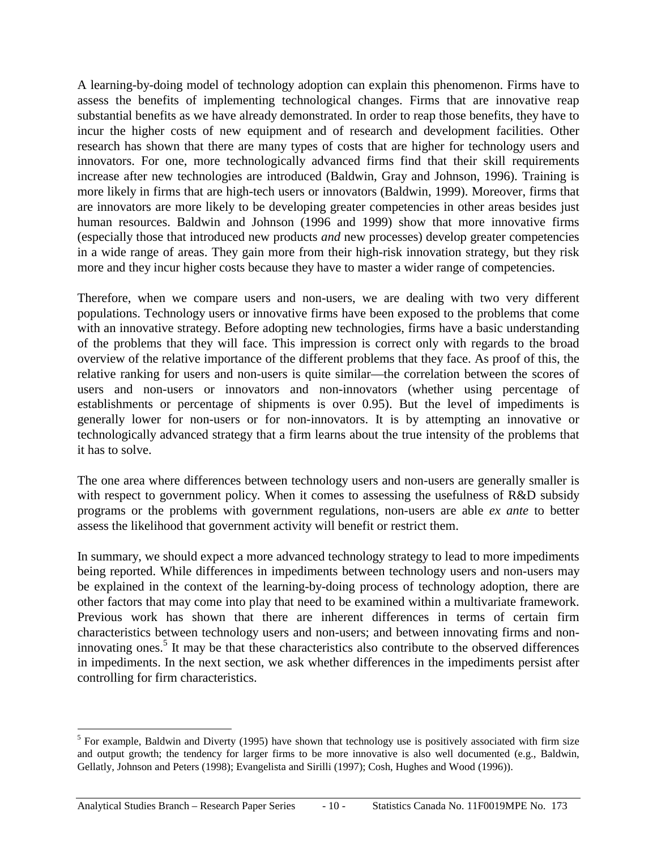A learning-by-doing model of technology adoption can explain this phenomenon. Firms have to assess the benefits of implementing technological changes. Firms that are innovative reap substantial benefits as we have already demonstrated. In order to reap those benefits, they have to incur the higher costs of new equipment and of research and development facilities. Other research has shown that there are many types of costs that are higher for technology users and innovators. For one, more technologically advanced firms find that their skill requirements increase after new technologies are introduced (Baldwin, Gray and Johnson, 1996). Training is more likely in firms that are high-tech users or innovators (Baldwin, 1999). Moreover, firms that are innovators are more likely to be developing greater competencies in other areas besides just human resources. Baldwin and Johnson (1996 and 1999) show that more innovative firms (especially those that introduced new products *and* new processes) develop greater competencies in a wide range of areas. They gain more from their high-risk innovation strategy, but they risk more and they incur higher costs because they have to master a wider range of competencies.

Therefore, when we compare users and non-users, we are dealing with two very different populations. Technology users or innovative firms have been exposed to the problems that come with an innovative strategy. Before adopting new technologies, firms have a basic understanding of the problems that they will face. This impression is correct only with regards to the broad overview of the relative importance of the different problems that they face. As proof of this, the relative ranking for users and non-users is quite similar—the correlation between the scores of users and non-users or innovators and non-innovators (whether using percentage of establishments or percentage of shipments is over 0.95). But the level of impediments is generally lower for non-users or for non-innovators. It is by attempting an innovative or technologically advanced strategy that a firm learns about the true intensity of the problems that it has to solve.

The one area where differences between technology users and non-users are generally smaller is with respect to government policy. When it comes to assessing the usefulness of R&D subsidy programs or the problems with government regulations, non-users are able *ex ante* to better assess the likelihood that government activity will benefit or restrict them.

In summary, we should expect a more advanced technology strategy to lead to more impediments being reported. While differences in impediments between technology users and non-users may be explained in the context of the learning-by-doing process of technology adoption, there are other factors that may come into play that need to be examined within a multivariate framework. Previous work has shown that there are inherent differences in terms of certain firm characteristics between technology users and non-users; and between innovating firms and noninnovating ones.<sup>5</sup> It may be that these characteristics also contribute to the observed differences in impediments. In the next section, we ask whether differences in the impediments persist after controlling for firm characteristics.

 $\overline{a}$ 

 $<sup>5</sup>$  For example, Baldwin and Diverty (1995) have shown that technology use is positively associated with firm size</sup> and output growth; the tendency for larger firms to be more innovative is also well documented (e.g., Baldwin, Gellatly, Johnson and Peters (1998); Evangelista and Sirilli (1997); Cosh, Hughes and Wood (1996)).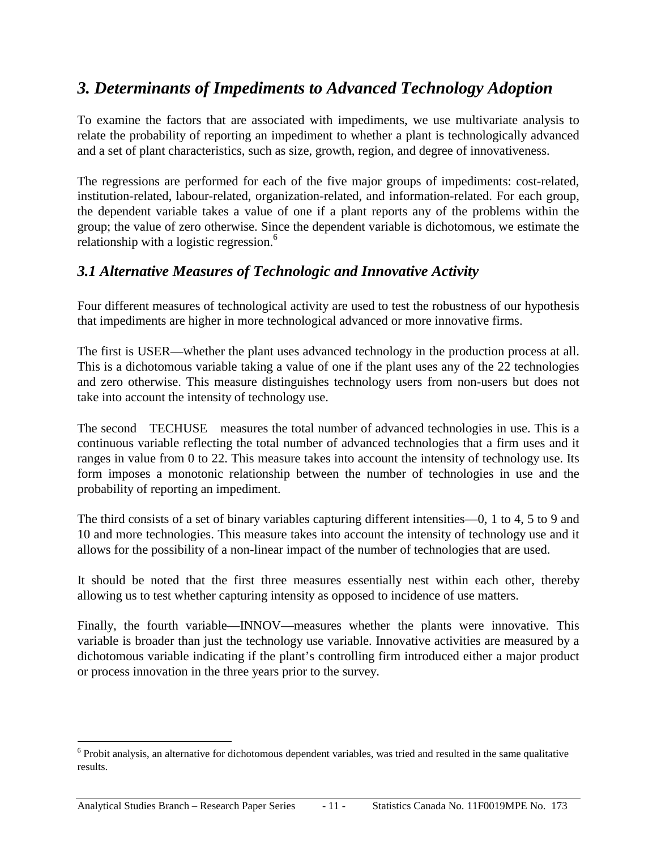## *3. Determinants of Impediments to Advanced Technology Adoption*

To examine the factors that are associated with impediments, we use multivariate analysis to relate the probability of reporting an impediment to whether a plant is technologically advanced and a set of plant characteristics, such as size, growth, region, and degree of innovativeness.

The regressions are performed for each of the five major groups of impediments: cost-related, institution-related, labour-related, organization-related, and information-related. For each group, the dependent variable takes a value of one if a plant reports any of the problems within the group; the value of zero otherwise. Since the dependent variable is dichotomous, we estimate the relationship with a logistic regression.<sup>6</sup>

### *3.1 Alternative Measures of Technologic and Innovative Activity*

Four different measures of technological activity are used to test the robustness of our hypothesis that impediments are higher in more technological advanced or more innovative firms.

The first is USER—Whether the plant uses advanced technology in the production process at all. This is a dichotomous variable taking a value of one if the plant uses any of the 22 technologies and zero otherwise. This measure distinguishes technology users from non-users but does not take into account the intensity of technology use.

The second—TECHUSE—measures the total number of advanced technologies in use. This is a continuous variable reflecting the total number of advanced technologies that a firm uses and it ranges in value from 0 to 22. This measure takes into account the intensity of technology use. Its form imposes a monotonic relationship between the number of technologies in use and the probability of reporting an impediment.

The third consists of a set of binary variables capturing different intensities—0, 1 to 4, 5 to 9 and 10 and more technologies. This measure takes into account the intensity of technology use and it allows for the possibility of a non-linear impact of the number of technologies that are used.

It should be noted that the first three measures essentially nest within each other, thereby allowing us to test whether capturing intensity as opposed to incidence of use matters.

Finally, the fourth variable—INNOV—measures whether the plants were innovative. This variable is broader than just the technology use variable. Innovative activities are measured by a dichotomous variable indicating if the plant's controlling firm introduced either a major product or process innovation in the three years prior to the survey.

 $\overline{a}$ 

<sup>&</sup>lt;sup>6</sup> Probit analysis, an alternative for dichotomous dependent variables, was tried and resulted in the same qualitative results.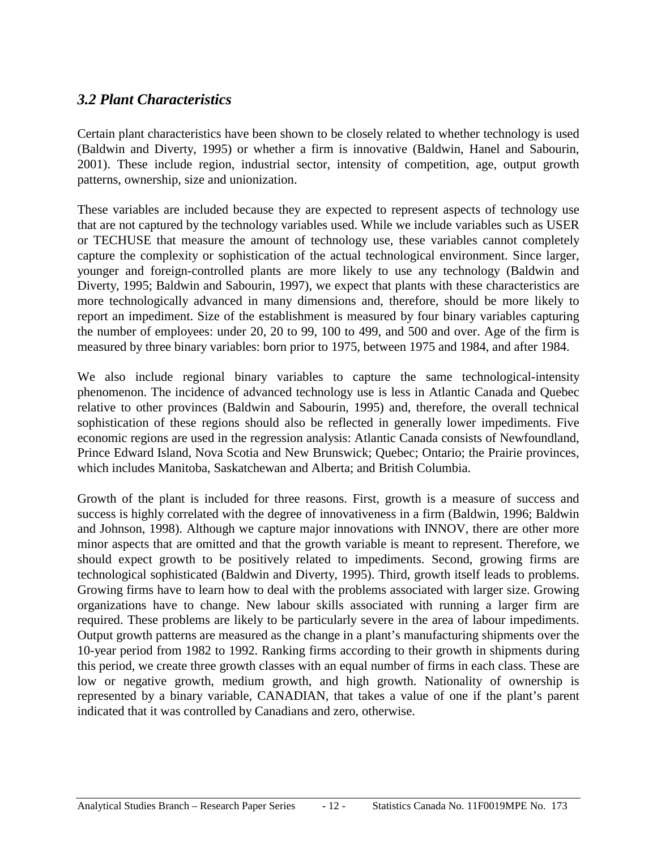### *3.2 Plant Characteristics*

Certain plant characteristics have been shown to be closely related to whether technology is used (Baldwin and Diverty, 1995) or whether a firm is innovative (Baldwin, Hanel and Sabourin, 2001). These include region, industrial sector, intensity of competition, age, output growth patterns, ownership, size and unionization.

These variables are included because they are expected to represent aspects of technology use that are not captured by the technology variables used. While we include variables such as USER or TECHUSE that measure the amount of technology use, these variables cannot completely capture the complexity or sophistication of the actual technological environment. Since larger, younger and foreign-controlled plants are more likely to use any technology (Baldwin and Diverty, 1995; Baldwin and Sabourin, 1997), we expect that plants with these characteristics are more technologically advanced in many dimensions and, therefore, should be more likely to report an impediment. Size of the establishment is measured by four binary variables capturing the number of employees: under 20, 20 to 99, 100 to 499, and 500 and over. Age of the firm is measured by three binary variables: born prior to 1975, between 1975 and 1984, and after 1984.

We also include regional binary variables to capture the same technological-intensity phenomenon. The incidence of advanced technology use is less in Atlantic Canada and Quebec relative to other provinces (Baldwin and Sabourin, 1995) and, therefore, the overall technical sophistication of these regions should also be reflected in generally lower impediments. Five economic regions are used in the regression analysis: Atlantic Canada consists of Newfoundland, Prince Edward Island, Nova Scotia and New Brunswick; Quebec; Ontario; the Prairie provinces, which includes Manitoba, Saskatchewan and Alberta; and British Columbia.

Growth of the plant is included for three reasons. First, growth is a measure of success and success is highly correlated with the degree of innovativeness in a firm (Baldwin, 1996; Baldwin and Johnson, 1998). Although we capture major innovations with INNOV, there are other more minor aspects that are omitted and that the growth variable is meant to represent. Therefore, we should expect growth to be positively related to impediments. Second, growing firms are technological sophisticated (Baldwin and Diverty, 1995). Third, growth itself leads to problems. Growing firms have to learn how to deal with the problems associated with larger size. Growing organizations have to change. New labour skills associated with running a larger firm are required. These problems are likely to be particularly severe in the area of labour impediments. Output growth patterns are measured as the change in a plant's manufacturing shipments over the 10-year period from 1982 to 1992. Ranking firms according to their growth in shipments during this period, we create three growth classes with an equal number of firms in each class. These are low or negative growth, medium growth, and high growth. Nationality of ownership is represented by a binary variable, CANADIAN, that takes a value of one if the plant's parent indicated that it was controlled by Canadians and zero, otherwise.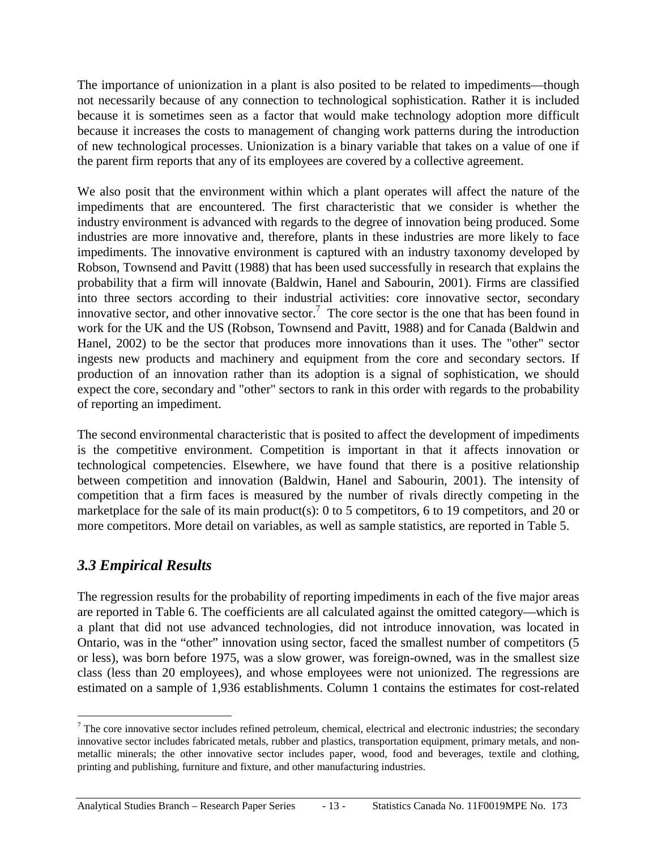The importance of unionization in a plant is also posited to be related to impediments—though not necessarily because of any connection to technological sophistication. Rather it is included because it is sometimes seen as a factor that would make technology adoption more difficult because it increases the costs to management of changing work patterns during the introduction of new technological processes. Unionization is a binary variable that takes on a value of one if the parent firm reports that any of its employees are covered by a collective agreement.

We also posit that the environment within which a plant operates will affect the nature of the impediments that are encountered. The first characteristic that we consider is whether the industry environment is advanced with regards to the degree of innovation being produced. Some industries are more innovative and, therefore, plants in these industries are more likely to face impediments. The innovative environment is captured with an industry taxonomy developed by Robson, Townsend and Pavitt (1988) that has been used successfully in research that explains the probability that a firm will innovate (Baldwin, Hanel and Sabourin, 2001). Firms are classified into three sectors according to their industrial activities: core innovative sector, secondary innovative sector, and other innovative sector.<sup>7</sup> The core sector is the one that has been found in work for the UK and the US (Robson, Townsend and Pavitt, 1988) and for Canada (Baldwin and Hanel, 2002) to be the sector that produces more innovations than it uses. The "other" sector ingests new products and machinery and equipment from the core and secondary sectors. If production of an innovation rather than its adoption is a signal of sophistication, we should expect the core, secondary and "other" sectors to rank in this order with regards to the probability of reporting an impediment.

The second environmental characteristic that is posited to affect the development of impediments is the competitive environment. Competition is important in that it affects innovation or technological competencies. Elsewhere, we have found that there is a positive relationship between competition and innovation (Baldwin, Hanel and Sabourin, 2001). The intensity of competition that a firm faces is measured by the number of rivals directly competing in the marketplace for the sale of its main product(s): 0 to 5 competitors, 6 to 19 competitors, and 20 or more competitors. More detail on variables, as well as sample statistics, are reported in Table 5.

### *3.3 Empirical Results*

The regression results for the probability of reporting impediments in each of the five major areas are reported in Table 6. The coefficients are all calculated against the omitted category—which is a plant that did not use advanced technologies, did not introduce innovation, was located in Ontario, was in the "other" innovation using sector, faced the smallest number of competitors (5 or less), was born before 1975, was a slow grower, was foreign-owned, was in the smallest size class (less than 20 employees), and whose employees were not unionized. The regressions are estimated on a sample of 1,936 establishments. Column 1 contains the estimates for cost-related

 $\overline{a}$  $<sup>7</sup>$  The core innovative sector includes refined petroleum, chemical, electrical and electronic industries; the secondary</sup> innovative sector includes fabricated metals, rubber and plastics, transportation equipment, primary metals, and nonmetallic minerals; the other innovative sector includes paper, wood, food and beverages, textile and clothing, printing and publishing, furniture and fixture, and other manufacturing industries.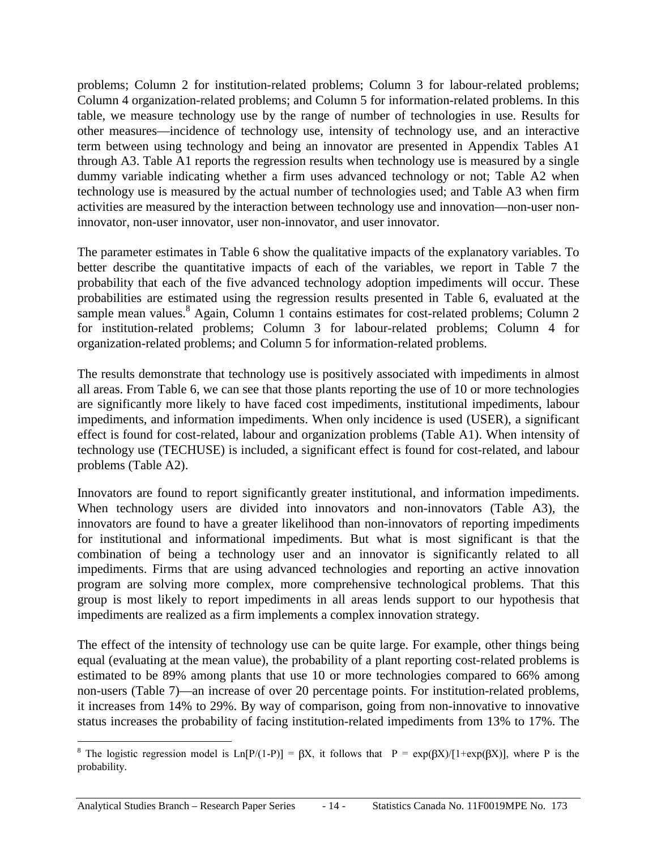problems; Column 2 for institution-related problems; Column 3 for labour-related problems; Column 4 organization-related problems; and Column 5 for information-related problems. In this table, we measure technology use by the range of number of technologies in use. Results for other measures—incidence of technology use, intensity of technology use, and an interactive term between using technology and being an innovator are presented in Appendix Tables A1 through A3. Table A1 reports the regression results when technology use is measured by a single dummy variable indicating whether a firm uses advanced technology or not; Table A2 when technology use is measured by the actual number of technologies used; and Table A3 when firm activities are measured by the interaction between technology use and innovation—non-user noninnovator, non-user innovator, user non-innovator, and user innovator.

The parameter estimates in Table 6 show the qualitative impacts of the explanatory variables. To better describe the quantitative impacts of each of the variables, we report in Table 7 the probability that each of the five advanced technology adoption impediments will occur. These probabilities are estimated using the regression results presented in Table 6, evaluated at the sample mean values.<sup>8</sup> Again, Column 1 contains estimates for cost-related problems; Column 2 for institution-related problems; Column 3 for labour-related problems; Column 4 for organization-related problems; and Column 5 for information-related problems.

The results demonstrate that technology use is positively associated with impediments in almost all areas. From Table 6, we can see that those plants reporting the use of 10 or more technologies are significantly more likely to have faced cost impediments, institutional impediments, labour impediments, and information impediments. When only incidence is used (USER), a significant effect is found for cost-related, labour and organization problems (Table A1). When intensity of technology use (TECHUSE) is included, a significant effect is found for cost-related, and labour problems (Table A2).

Innovators are found to report significantly greater institutional, and information impediments. When technology users are divided into innovators and non-innovators (Table A3), the innovators are found to have a greater likelihood than non-innovators of reporting impediments for institutional and informational impediments. But what is most significant is that the combination of being a technology user and an innovator is significantly related to all impediments. Firms that are using advanced technologies and reporting an active innovation program are solving more complex, more comprehensive technological problems. That this group is most likely to report impediments in all areas lends support to our hypothesis that impediments are realized as a firm implements a complex innovation strategy.

The effect of the intensity of technology use can be quite large. For example, other things being equal (evaluating at the mean value), the probability of a plant reporting cost-related problems is estimated to be 89% among plants that use 10 or more technologies compared to 66% among non-users (Table 7)—an increase of over 20 percentage points. For institution-related problems, it increases from 14% to 29%. By way of comparison, going from non-innovative to innovative status increases the probability of facing institution-related impediments from 13% to 17%. The

<sup>&</sup>lt;sup>8</sup> The logistic regression model is Ln[P/(1-P)] =  $\beta X$ , it follows that P = exp( $\beta X$ )/[1+exp( $\beta X$ )], where P is the probability.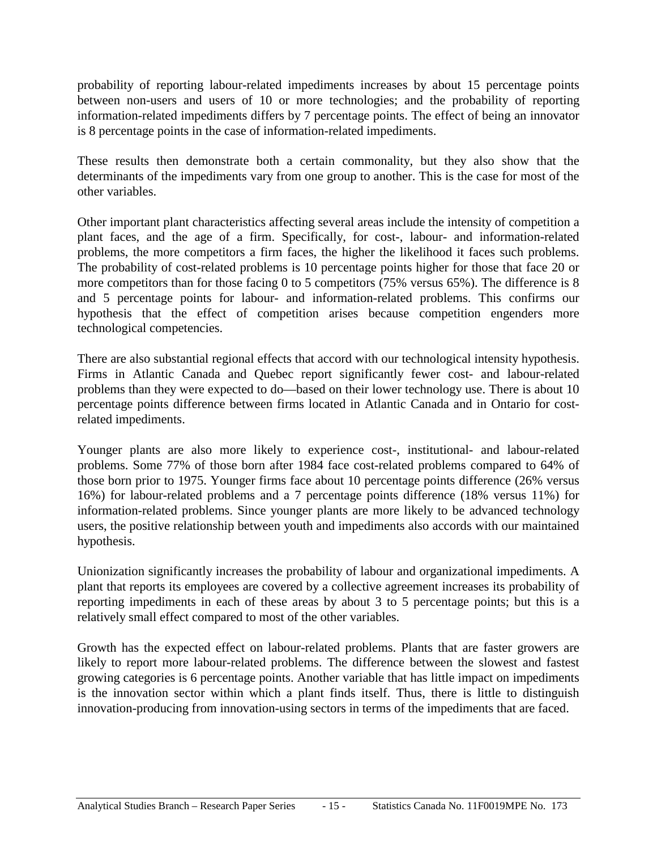probability of reporting labour-related impediments increases by about 15 percentage points between non-users and users of 10 or more technologies; and the probability of reporting information-related impediments differs by 7 percentage points. The effect of being an innovator is 8 percentage points in the case of information-related impediments.

These results then demonstrate both a certain commonality, but they also show that the determinants of the impediments vary from one group to another. This is the case for most of the other variables.

Other important plant characteristics affecting several areas include the intensity of competition a plant faces, and the age of a firm. Specifically, for cost-, labour- and information-related problems, the more competitors a firm faces, the higher the likelihood it faces such problems. The probability of cost-related problems is 10 percentage points higher for those that face 20 or more competitors than for those facing 0 to 5 competitors (75% versus 65%). The difference is 8 and 5 percentage points for labour- and information-related problems. This confirms our hypothesis that the effect of competition arises because competition engenders more technological competencies.

There are also substantial regional effects that accord with our technological intensity hypothesis. Firms in Atlantic Canada and Quebec report significantly fewer cost- and labour-related problems than they were expected to do—based on their lower technology use. There is about 10 percentage points difference between firms located in Atlantic Canada and in Ontario for costrelated impediments.

Younger plants are also more likely to experience cost-, institutional- and labour-related problems. Some 77% of those born after 1984 face cost-related problems compared to 64% of those born prior to 1975. Younger firms face about 10 percentage points difference (26% versus 16%) for labour-related problems and a 7 percentage points difference (18% versus 11%) for information-related problems. Since younger plants are more likely to be advanced technology users, the positive relationship between youth and impediments also accords with our maintained hypothesis.

Unionization significantly increases the probability of labour and organizational impediments. A plant that reports its employees are covered by a collective agreement increases its probability of reporting impediments in each of these areas by about 3 to 5 percentage points; but this is a relatively small effect compared to most of the other variables.

Growth has the expected effect on labour-related problems. Plants that are faster growers are likely to report more labour-related problems. The difference between the slowest and fastest growing categories is 6 percentage points. Another variable that has little impact on impediments is the innovation sector within which a plant finds itself. Thus, there is little to distinguish innovation-producing from innovation-using sectors in terms of the impediments that are faced.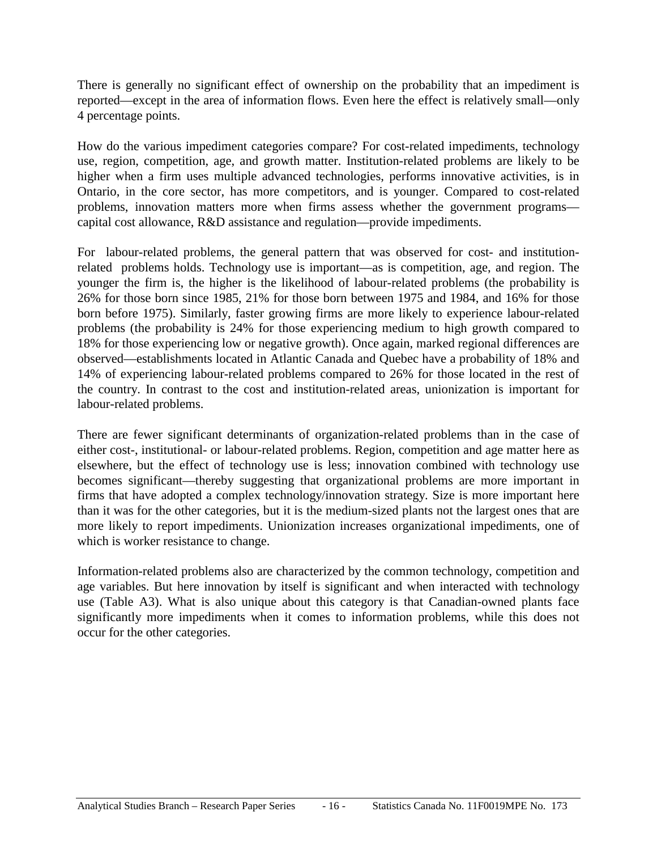There is generally no significant effect of ownership on the probability that an impediment is reported—except in the area of information flows. Even here the effect is relatively small—only 4 percentage points.

How do the various impediment categories compare? For cost-related impediments, technology use, region, competition, age, and growth matter. Institution-related problems are likely to be higher when a firm uses multiple advanced technologies, performs innovative activities, is in Ontario, in the core sector, has more competitors, and is younger. Compared to cost-related problems, innovation matters more when firms assess whether the government programs capital cost allowance, R&D assistance and regulation—provide impediments.

For labour-related problems, the general pattern that was observed for cost- and institutionrelated problems holds. Technology use is important—as is competition, age, and region. The younger the firm is, the higher is the likelihood of labour-related problems (the probability is 26% for those born since 1985, 21% for those born between 1975 and 1984, and 16% for those born before 1975). Similarly, faster growing firms are more likely to experience labour-related problems (the probability is 24% for those experiencing medium to high growth compared to 18% for those experiencing low or negative growth). Once again, marked regional differences are observed—establishments located in Atlantic Canada and Quebec have a probability of 18% and 14% of experiencing labour-related problems compared to 26% for those located in the rest of the country. In contrast to the cost and institution-related areas, unionization is important for labour-related problems.

There are fewer significant determinants of organization-related problems than in the case of either cost-, institutional- or labour-related problems. Region, competition and age matter here as elsewhere, but the effect of technology use is less; innovation combined with technology use becomes significant—thereby suggesting that organizational problems are more important in firms that have adopted a complex technology/innovation strategy. Size is more important here than it was for the other categories, but it is the medium-sized plants not the largest ones that are more likely to report impediments. Unionization increases organizational impediments, one of which is worker resistance to change.

Information-related problems also are characterized by the common technology, competition and age variables. But here innovation by itself is significant and when interacted with technology use (Table A3). What is also unique about this category is that Canadian-owned plants face significantly more impediments when it comes to information problems, while this does not occur for the other categories.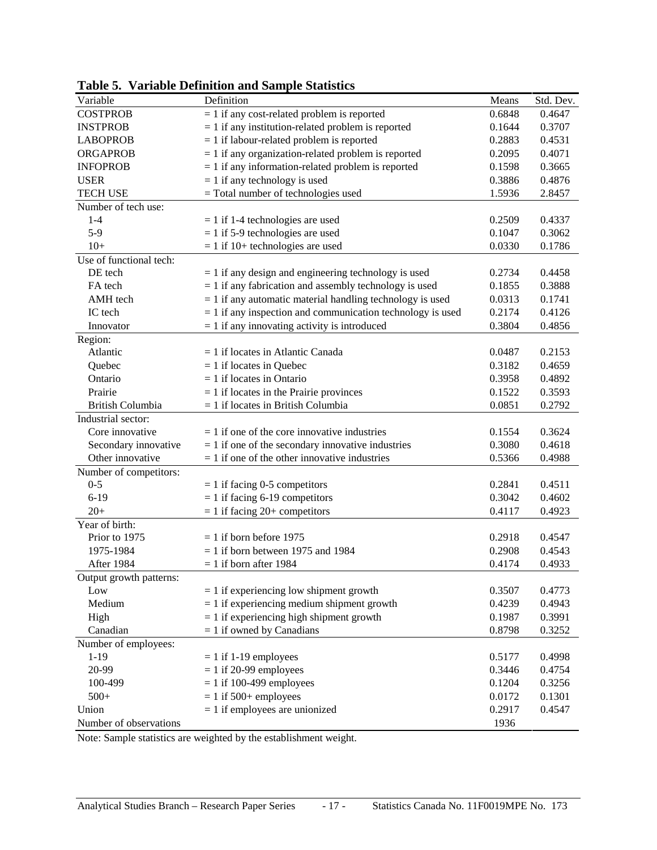| Variable                | $\sim$ $\sim$<br>Definition                                  | Means  | Std. Dev. |
|-------------------------|--------------------------------------------------------------|--------|-----------|
| <b>COSTPROB</b>         | $= 1$ if any cost-related problem is reported                | 0.6848 | 0.4647    |
| <b>INSTPROB</b>         | $= 1$ if any institution-related problem is reported         | 0.1644 | 0.3707    |
| <b>LABOPROB</b>         | $= 1$ if labour-related problem is reported                  | 0.2883 | 0.4531    |
| <b>ORGAPROB</b>         | $= 1$ if any organization-related problem is reported        | 0.2095 | 0.4071    |
| <b>INFOPROB</b>         | $= 1$ if any information-related problem is reported         | 0.1598 | 0.3665    |
| <b>USER</b>             | $= 1$ if any technology is used                              | 0.3886 | 0.4876    |
| <b>TECH USE</b>         | = Total number of technologies used                          | 1.5936 | 2.8457    |
| Number of tech use:     |                                                              |        |           |
| $1 - 4$                 | $= 1$ if 1-4 technologies are used                           | 0.2509 | 0.4337    |
| $5-9$                   | $= 1$ if 5-9 technologies are used                           | 0.1047 | 0.3062    |
| $10+$                   | $= 1$ if 10+ technologies are used                           | 0.0330 | 0.1786    |
| Use of functional tech: |                                                              |        |           |
| DE tech                 | $= 1$ if any design and engineering technology is used       | 0.2734 | 0.4458    |
| FA tech                 | $= 1$ if any fabrication and assembly technology is used     | 0.1855 | 0.3888    |
| AMH tech                | $= 1$ if any automatic material handling technology is used  | 0.0313 | 0.1741    |
| IC tech                 | $= 1$ if any inspection and communication technology is used | 0.2174 | 0.4126    |
| Innovator               | $= 1$ if any innovating activity is introduced               | 0.3804 | 0.4856    |
| Region:                 |                                                              |        |           |
| Atlantic                | $= 1$ if locates in Atlantic Canada                          | 0.0487 | 0.2153    |
| Quebec                  | $= 1$ if locates in Quebec                                   | 0.3182 | 0.4659    |
| Ontario                 | $= 1$ if locates in Ontario                                  | 0.3958 | 0.4892    |
| Prairie                 | $= 1$ if locates in the Prairie provinces                    | 0.1522 | 0.3593    |
| British Columbia        | $= 1$ if locates in British Columbia                         | 0.0851 | 0.2792    |
| Industrial sector:      |                                                              |        |           |
| Core innovative         | $= 1$ if one of the core innovative industries               | 0.1554 | 0.3624    |
| Secondary innovative    | $= 1$ if one of the secondary innovative industries          | 0.3080 | 0.4618    |
| Other innovative        | $= 1$ if one of the other innovative industries              | 0.5366 | 0.4988    |
| Number of competitors:  |                                                              |        |           |
| $0 - 5$                 | $= 1$ if facing 0-5 competitors                              | 0.2841 | 0.4511    |
| $6 - 19$                | $= 1$ if facing 6-19 competitors                             | 0.3042 | 0.4602    |
| $20+$                   | $= 1$ if facing 20+ competitors                              | 0.4117 | 0.4923    |
| Year of birth:          |                                                              |        |           |
| Prior to 1975           | $= 1$ if born before 1975                                    | 0.2918 | 0.4547    |
| 1975-1984               | $= 1$ if born between 1975 and 1984                          | 0.2908 | 0.4543    |
| After 1984              | $= 1$ if born after 1984                                     | 0.4174 | 0.4933    |
| Output growth patterns: |                                                              |        |           |
| Low                     | $= 1$ if experiencing low shipment growth                    | 0.3507 | 0.4773    |
| Medium                  | $= 1$ if experiencing medium shipment growth                 | 0.4239 | 0.4943    |
| High                    | $= 1$ if experiencing high shipment growth                   | 0.1987 | 0.3991    |
| Canadian                | $= 1$ if owned by Canadians                                  | 0.8798 | 0.3252    |
| Number of employees:    |                                                              |        |           |
| $1 - 19$                | $= 1$ if 1-19 employees                                      | 0.5177 | 0.4998    |
| 20-99                   | $= 1$ if 20-99 employees                                     | 0.3446 | 0.4754    |
| 100-499                 | $= 1$ if 100-499 employees                                   | 0.1204 | 0.3256    |
| $500+$                  | $= 1$ if 500+ employees                                      | 0.0172 | 0.1301    |
| Union                   | $= 1$ if employees are unionized                             | 0.2917 | 0.4547    |
| Number of observations  |                                                              | 1936   |           |

**Table 5. Variable Definition and Sample Statistics**

Note: Sample statistics are weighted by the establishment weight.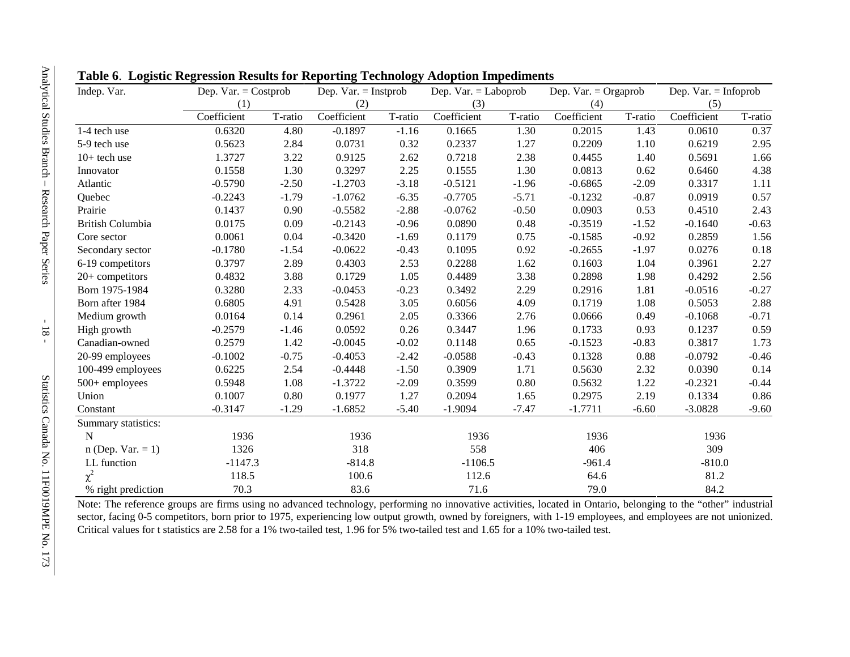| Indep. Var.         | Dep. Var. $=$ Costprob |         | Dep. $Var =$ Instprob |         | Dep. $Var =$ Laboprob |         | Dep. Var. $=$ Orgaprob |         | Dep. Var. $=$ Infoprob |         |
|---------------------|------------------------|---------|-----------------------|---------|-----------------------|---------|------------------------|---------|------------------------|---------|
|                     | (1)                    |         | (2)                   |         | (3)                   |         | (4)                    |         | (5)                    |         |
|                     | Coefficient            | T-ratio | Coefficient           | T-ratio | Coefficient           | T-ratio | Coefficient            | T-ratio | Coefficient            | T-ratio |
| 1-4 tech use        | 0.6320                 | 4.80    | $-0.1897$             | $-1.16$ | 0.1665                | 1.30    | 0.2015                 | 1.43    | 0.0610                 | 0.37    |
| 5-9 tech use        | 0.5623                 | 2.84    | 0.0731                | 0.32    | 0.2337                | 1.27    | 0.2209                 | 1.10    | 0.6219                 | 2.95    |
| $10+$ tech use      | 1.3727                 | 3.22    | 0.9125                | 2.62    | 0.7218                | 2.38    | 0.4455                 | 1.40    | 0.5691                 | 1.66    |
| Innovator           | 0.1558                 | 1.30    | 0.3297                | 2.25    | 0.1555                | 1.30    | 0.0813                 | 0.62    | 0.6460                 | 4.38    |
| Atlantic            | $-0.5790$              | $-2.50$ | $-1.2703$             | $-3.18$ | $-0.5121$             | $-1.96$ | $-0.6865$              | $-2.09$ | 0.3317                 | 1.11    |
| Quebec              | $-0.2243$              | $-1.79$ | $-1.0762$             | $-6.35$ | $-0.7705$             | $-5.71$ | $-0.1232$              | $-0.87$ | 0.0919                 | 0.57    |
| Prairie             | 0.1437                 | 0.90    | $-0.5582$             | $-2.88$ | $-0.0762$             | $-0.50$ | 0.0903                 | 0.53    | 0.4510                 | 2.43    |
| British Columbia    | 0.0175                 | 0.09    | $-0.2143$             | $-0.96$ | 0.0890                | 0.48    | $-0.3519$              | $-1.52$ | $-0.1640$              | $-0.63$ |
| Core sector         | 0.0061                 | 0.04    | $-0.3420$             | $-1.69$ | 0.1179                | 0.75    | $-0.1585$              | $-0.92$ | 0.2859                 | 1.56    |
| Secondary sector    | $-0.1780$              | $-1.54$ | $-0.0622$             | $-0.43$ | 0.1095                | 0.92    | $-0.2655$              | $-1.97$ | 0.0276                 | 0.18    |
| 6-19 competitors    | 0.3797                 | 2.89    | 0.4303                | 2.53    | 0.2288                | 1.62    | 0.1603                 | 1.04    | 0.3961                 | 2.27    |
| 20+ competitors     | 0.4832                 | 3.88    | 0.1729                | 1.05    | 0.4489                | 3.38    | 0.2898                 | 1.98    | 0.4292                 | 2.56    |
| Born 1975-1984      | 0.3280                 | 2.33    | $-0.0453$             | $-0.23$ | 0.3492                | 2.29    | 0.2916                 | 1.81    | $-0.0516$              | $-0.27$ |
| Born after 1984     | 0.6805                 | 4.91    | 0.5428                | 3.05    | 0.6056                | 4.09    | 0.1719                 | 1.08    | 0.5053                 | 2.88    |
| Medium growth       | 0.0164                 | 0.14    | 0.2961                | 2.05    | 0.3366                | 2.76    | 0.0666                 | 0.49    | $-0.1068$              | $-0.71$ |
| High growth         | $-0.2579$              | $-1.46$ | 0.0592                | 0.26    | 0.3447                | 1.96    | 0.1733                 | 0.93    | 0.1237                 | 0.59    |
| Canadian-owned      | 0.2579                 | 1.42    | $-0.0045$             | $-0.02$ | 0.1148                | 0.65    | $-0.1523$              | $-0.83$ | 0.3817                 | 1.73    |
| 20-99 employees     | $-0.1002$              | $-0.75$ | $-0.4053$             | $-2.42$ | $-0.0588$             | $-0.43$ | 0.1328                 | 0.88    | $-0.0792$              | $-0.46$ |
| 100-499 employees   | 0.6225                 | 2.54    | $-0.4448$             | $-1.50$ | 0.3909                | 1.71    | 0.5630                 | 2.32    | 0.0390                 | 0.14    |
| 500+ employees      | 0.5948                 | 1.08    | $-1.3722$             | $-2.09$ | 0.3599                | 0.80    | 0.5632                 | 1.22    | $-0.2321$              | $-0.44$ |
| Union               | 0.1007                 | 0.80    | 0.1977                | 1.27    | 0.2094                | 1.65    | 0.2975                 | 2.19    | 0.1334                 | 0.86    |
| Constant            | $-0.3147$              | $-1.29$ | $-1.6852$             | $-5.40$ | $-1.9094$             | $-7.47$ | $-1.7711$              | $-6.60$ | $-3.0828$              | $-9.60$ |
| Summary statistics: |                        |         |                       |         |                       |         |                        |         |                        |         |
| $\mathbf N$         | 1936                   |         | 1936                  |         | 1936                  |         | 1936                   |         | 1936                   |         |
| $n$ (Dep. Var. = 1) | 1326                   |         | 318                   |         | 558                   |         | 406                    |         | 309                    |         |
| LL function         | $-1147.3$              |         | $-814.8$              |         | $-1106.5$             |         | $-961.4$               |         | $-810.0$               |         |
| $\chi^2$            | 118.5                  |         | 100.6                 |         | 112.6                 |         | 64.6                   |         | 81.2                   |         |
| % right prediction  | 70.3                   |         | 83.6                  |         | 71.6                  |         | 79.0                   |         | 84.2                   |         |

**Table 6**. **Logistic Regression Results for Reporting Technology Adoption Impediments**

Note: The reference groups are firms using no advanced technology, performing no innovative activities, located in Ontario, belonging to the "other" industrial sector, facing 0-5 competitors, born prior to 1975, experiencing low output growth, owned by foreigners, with 1-19 employees, and employees are not unionized. Critical values for t statistics are 2.58 for a 1% two-tailed test, 1.96 for 5% two-tailed test and 1.65 for a 10% two-tailed test.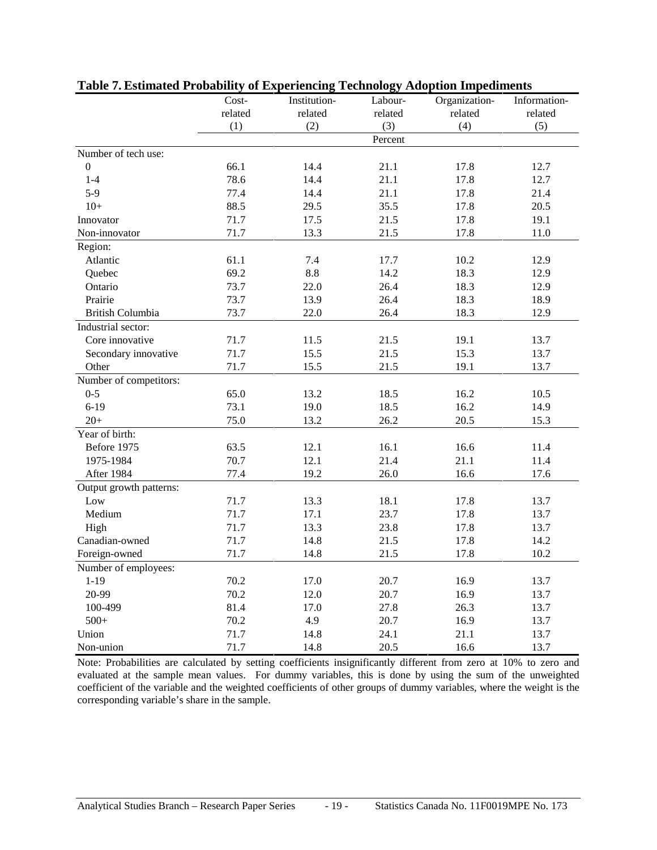|                         | $Cost-$ | Institution- | Labour- | Organization- | Information- |
|-------------------------|---------|--------------|---------|---------------|--------------|
|                         | related | related      | related | related       | related      |
|                         | (1)     | (2)          | (3)     | (4)           | (5)          |
|                         |         |              | Percent |               |              |
| Number of tech use:     |         |              |         |               |              |
| $\boldsymbol{0}$        | 66.1    | 14.4         | 21.1    | 17.8          | 12.7         |
| $1-4$                   | 78.6    | 14.4         | 21.1    | 17.8          | 12.7         |
| $5-9$                   | 77.4    | 14.4         | 21.1    | 17.8          | 21.4         |
| $10+$                   | 88.5    | 29.5         | 35.5    | 17.8          | 20.5         |
| Innovator               | 71.7    | 17.5         | 21.5    | 17.8          | 19.1         |
| Non-innovator           | 71.7    | 13.3         | 21.5    | 17.8          | 11.0         |
| Region:                 |         |              |         |               |              |
| Atlantic                | 61.1    | 7.4          | 17.7    | 10.2          | 12.9         |
| Quebec                  | 69.2    | $8.8\,$      | 14.2    | 18.3          | 12.9         |
| Ontario                 | 73.7    | 22.0         | 26.4    | 18.3          | 12.9         |
| Prairie                 | 73.7    | 13.9         | 26.4    | 18.3          | 18.9         |
| <b>British Columbia</b> | 73.7    | 22.0         | 26.4    | 18.3          | 12.9         |
| Industrial sector:      |         |              |         |               |              |
| Core innovative         | 71.7    | 11.5         | 21.5    | 19.1          | 13.7         |
| Secondary innovative    | 71.7    | 15.5         | 21.5    | 15.3          | 13.7         |
| Other                   | 71.7    | 15.5         | 21.5    | 19.1          | 13.7         |
| Number of competitors:  |         |              |         |               |              |
| $0 - 5$                 | 65.0    | 13.2         | 18.5    | 16.2          | 10.5         |
| $6 - 19$                | 73.1    | 19.0         | 18.5    | 16.2          | 14.9         |
| $20+$                   | 75.0    | 13.2         | 26.2    | 20.5          | 15.3         |
| Year of birth:          |         |              |         |               |              |
| Before 1975             | 63.5    | 12.1         | 16.1    | 16.6          | 11.4         |
| 1975-1984               | 70.7    | 12.1         | 21.4    | 21.1          | 11.4         |
| After 1984              | 77.4    | 19.2         | 26.0    | 16.6          | 17.6         |
| Output growth patterns: |         |              |         |               |              |
| Low                     | 71.7    | 13.3         | 18.1    | 17.8          | 13.7         |
| Medium                  | 71.7    | 17.1         | 23.7    | 17.8          | 13.7         |
| High                    | 71.7    | 13.3         | 23.8    | 17.8          | 13.7         |
| Canadian-owned          | 71.7    | 14.8         | 21.5    | 17.8          | 14.2         |
| Foreign-owned           | 71.7    | 14.8         | 21.5    | 17.8          | 10.2         |
| Number of employees:    |         |              |         |               |              |
| $1 - 19$                | 70.2    | 17.0         | 20.7    | 16.9          | 13.7         |
| 20-99                   | 70.2    | 12.0         | 20.7    | 16.9          | 13.7         |
| 100-499                 | 81.4    | 17.0         | 27.8    | 26.3          | 13.7         |
| $500+$                  | 70.2    | 4.9          | 20.7    | 16.9          | 13.7         |
| Union                   | 71.7    | 14.8         | 24.1    | 21.1          | 13.7         |
| Non-union               | 71.7    | 14.8         | 20.5    | 16.6          | 13.7         |

**Table 7. Estimated Probability of Experiencing Technology Adoption Impediments**

Note: Probabilities are calculated by setting coefficients insignificantly different from zero at 10% to zero and evaluated at the sample mean values. For dummy variables, this is done by using the sum of the unweighted coefficient of the variable and the weighted coefficients of other groups of dummy variables, where the weight is the corresponding variable's share in the sample.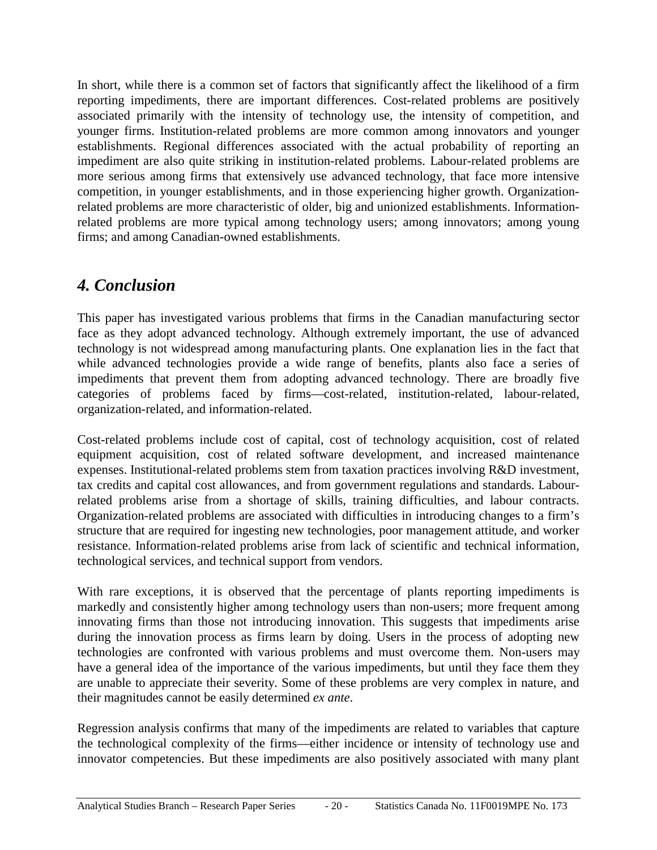In short, while there is a common set of factors that significantly affect the likelihood of a firm reporting impediments, there are important differences. Cost-related problems are positively associated primarily with the intensity of technology use, the intensity of competition, and younger firms. Institution-related problems are more common among innovators and younger establishments. Regional differences associated with the actual probability of reporting an impediment are also quite striking in institution-related problems. Labour-related problems are more serious among firms that extensively use advanced technology, that face more intensive competition, in younger establishments, and in those experiencing higher growth. Organizationrelated problems are more characteristic of older, big and unionized establishments. Informationrelated problems are more typical among technology users; among innovators; among young firms; and among Canadian-owned establishments.

## *4. Conclusion*

This paper has investigated various problems that firms in the Canadian manufacturing sector face as they adopt advanced technology. Although extremely important, the use of advanced technology is not widespread among manufacturing plants. One explanation lies in the fact that while advanced technologies provide a wide range of benefits, plants also face a series of impediments that prevent them from adopting advanced technology. There are broadly five categories of problems faced by firms—cost-related, institution-related, labour-related, organization-related, and information-related.

Cost-related problems include cost of capital, cost of technology acquisition, cost of related equipment acquisition, cost of related software development, and increased maintenance expenses. Institutional-related problems stem from taxation practices involving R&D investment, tax credits and capital cost allowances, and from government regulations and standards. Labourrelated problems arise from a shortage of skills, training difficulties, and labour contracts. Organization-related problems are associated with difficulties in introducing changes to a firm's structure that are required for ingesting new technologies, poor management attitude, and worker resistance. Information-related problems arise from lack of scientific and technical information, technological services, and technical support from vendors.

With rare exceptions, it is observed that the percentage of plants reporting impediments is markedly and consistently higher among technology users than non-users; more frequent among innovating firms than those not introducing innovation. This suggests that impediments arise during the innovation process as firms learn by doing. Users in the process of adopting new technologies are confronted with various problems and must overcome them. Non-users may have a general idea of the importance of the various impediments, but until they face them they are unable to appreciate their severity. Some of these problems are very complex in nature, and their magnitudes cannot be easily determined *ex ante*.

Regression analysis confirms that many of the impediments are related to variables that capture the technological complexity of the firms—either incidence or intensity of technology use and innovator competencies. But these impediments are also positively associated with many plant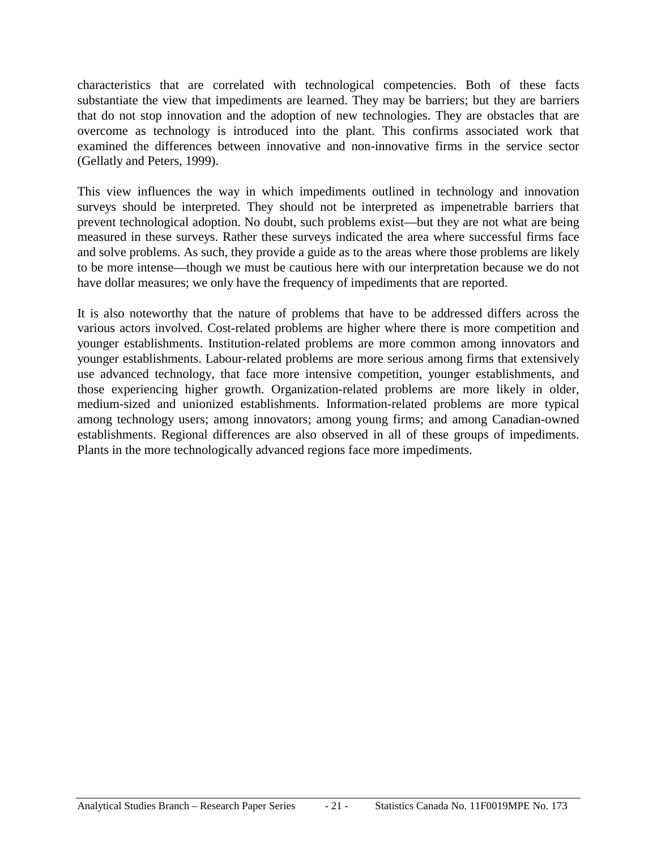characteristics that are correlated with technological competencies. Both of these facts substantiate the view that impediments are learned. They may be barriers; but they are barriers that do not stop innovation and the adoption of new technologies. They are obstacles that are overcome as technology is introduced into the plant. This confirms associated work that examined the differences between innovative and non-innovative firms in the service sector (Gellatly and Peters, 1999).

This view influences the way in which impediments outlined in technology and innovation surveys should be interpreted. They should not be interpreted as impenetrable barriers that prevent technological adoption. No doubt, such problems exist—but they are not what are being measured in these surveys. Rather these surveys indicated the area where successful firms face and solve problems. As such, they provide a guide as to the areas where those problems are likely to be more intense—though we must be cautious here with our interpretation because we do not have dollar measures; we only have the frequency of impediments that are reported.

It is also noteworthy that the nature of problems that have to be addressed differs across the various actors involved. Cost-related problems are higher where there is more competition and younger establishments. Institution-related problems are more common among innovators and younger establishments. Labour-related problems are more serious among firms that extensively use advanced technology, that face more intensive competition, younger establishments, and those experiencing higher growth. Organization-related problems are more likely in older, medium-sized and unionized establishments. Information-related problems are more typical among technology users; among innovators; among young firms; and among Canadian-owned establishments. Regional differences are also observed in all of these groups of impediments. Plants in the more technologically advanced regions face more impediments.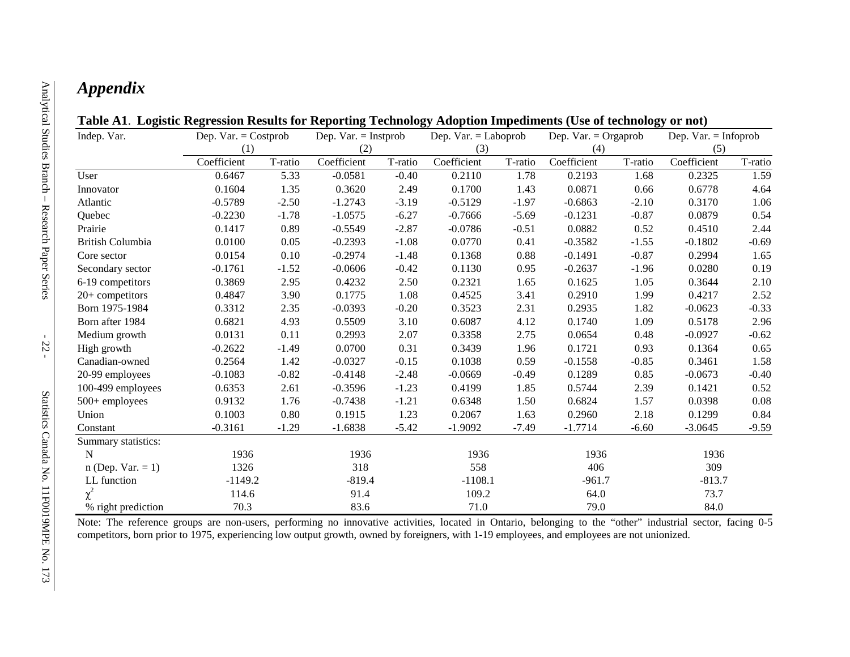# *Appendix*

| Indep. Var.             | o<br>Dep. Var. $=$ Costprob |          | 0<br>Dep. $Var = Instprob$ |         | っ<br>Dep. $Var = Laboprob$ |         | Dep. $Var = Organprob$ | っ       | Dep. $Var = Inforob$ |         |
|-------------------------|-----------------------------|----------|----------------------------|---------|----------------------------|---------|------------------------|---------|----------------------|---------|
|                         | (1)                         |          | (2)                        |         | (3)                        |         | (4)                    |         | (5)                  |         |
|                         | Coefficient                 | T-ratio  | Coefficient                | T-ratio | Coefficient                | T-ratio | Coefficient            | T-ratio | Coefficient          | T-ratio |
| User                    | 0.6467                      | 5.33     | $-0.0581$                  | $-0.40$ | 0.2110                     | 1.78    | 0.2193                 | 1.68    | 0.2325               | 1.59    |
| Innovator               | 0.1604                      | 1.35     | 0.3620                     | 2.49    | 0.1700                     | 1.43    | 0.0871                 | 0.66    | 0.6778               | 4.64    |
| Atlantic                | $-0.5789$                   | $-2.50$  | $-1.2743$                  | $-3.19$ | $-0.5129$                  | $-1.97$ | $-0.6863$              | $-2.10$ | 0.3170               | 1.06    |
| Quebec                  | $-0.2230$                   | $-1.78$  | $-1.0575$                  | $-6.27$ | $-0.7666$                  | $-5.69$ | $-0.1231$              | $-0.87$ | 0.0879               | 0.54    |
| Prairie                 | 0.1417                      | 0.89     | $-0.5549$                  | $-2.87$ | $-0.0786$                  | $-0.51$ | 0.0882                 | 0.52    | 0.4510               | 2.44    |
| <b>British Columbia</b> | 0.0100                      | 0.05     | $-0.2393$                  | $-1.08$ | 0.0770                     | 0.41    | $-0.3582$              | $-1.55$ | $-0.1802$            | $-0.69$ |
| Core sector             | 0.0154                      | $0.10\,$ | $-0.2974$                  | $-1.48$ | 0.1368                     | 0.88    | $-0.1491$              | $-0.87$ | 0.2994               | 1.65    |
| Secondary sector        | $-0.1761$                   | $-1.52$  | $-0.0606$                  | $-0.42$ | 0.1130                     | 0.95    | $-0.2637$              | $-1.96$ | 0.0280               | 0.19    |
| 6-19 competitors        | 0.3869                      | 2.95     | 0.4232                     | 2.50    | 0.2321                     | 1.65    | 0.1625                 | 1.05    | 0.3644               | 2.10    |
| $20+$ competitors       | 0.4847                      | 3.90     | 0.1775                     | 1.08    | 0.4525                     | 3.41    | 0.2910                 | 1.99    | 0.4217               | 2.52    |
| Born 1975-1984          | 0.3312                      | 2.35     | $-0.0393$                  | $-0.20$ | 0.3523                     | 2.31    | 0.2935                 | 1.82    | $-0.0623$            | $-0.33$ |
| Born after 1984         | 0.6821                      | 4.93     | 0.5509                     | 3.10    | 0.6087                     | 4.12    | 0.1740                 | 1.09    | 0.5178               | 2.96    |
| Medium growth           | 0.0131                      | 0.11     | 0.2993                     | 2.07    | 0.3358                     | 2.75    | 0.0654                 | 0.48    | $-0.0927$            | $-0.62$ |
| High growth             | $-0.2622$                   | $-1.49$  | 0.0700                     | 0.31    | 0.3439                     | 1.96    | 0.1721                 | 0.93    | 0.1364               | 0.65    |
| Canadian-owned          | 0.2564                      | 1.42     | $-0.0327$                  | $-0.15$ | 0.1038                     | 0.59    | $-0.1558$              | $-0.85$ | 0.3461               | 1.58    |
| 20-99 employees         | $-0.1083$                   | $-0.82$  | $-0.4148$                  | $-2.48$ | $-0.0669$                  | $-0.49$ | 0.1289                 | 0.85    | $-0.0673$            | $-0.40$ |
| 100-499 employees       | 0.6353                      | 2.61     | $-0.3596$                  | $-1.23$ | 0.4199                     | 1.85    | 0.5744                 | 2.39    | 0.1421               | 0.52    |
| 500+ employees          | 0.9132                      | 1.76     | $-0.7438$                  | $-1.21$ | 0.6348                     | 1.50    | 0.6824                 | 1.57    | 0.0398               | 0.08    |
| Union                   | 0.1003                      | 0.80     | 0.1915                     | 1.23    | 0.2067                     | 1.63    | 0.2960                 | 2.18    | 0.1299               | 0.84    |
| Constant                | $-0.3161$                   | $-1.29$  | $-1.6838$                  | $-5.42$ | $-1.9092$                  | $-7.49$ | $-1.7714$              | $-6.60$ | $-3.0645$            | $-9.59$ |
| Summary statistics:     |                             |          |                            |         |                            |         |                        |         |                      |         |
| N                       | 1936                        |          | 1936                       |         | 1936                       |         | 1936                   |         | 1936                 |         |
| $n$ (Dep. Var. $= 1$ )  | 1326                        |          | 318                        |         | 558                        |         | 406                    |         | 309                  |         |
| LL function             | $-1149.2$                   |          | $-819.4$                   |         | $-1108.1$                  |         | $-961.7$               |         | $-813.7$             |         |
| $\chi^2$                | 114.6                       |          | 91.4                       |         | 109.2                      |         | 64.0                   |         | 73.7                 |         |
| % right prediction      | 70.3                        |          | 83.6                       |         | 71.0                       |         | 79.0                   |         | 84.0                 |         |

| Table A1. Logistic Regression Results for Reporting Technology Adoption Impediments (Use of technology or not) |  |  |
|----------------------------------------------------------------------------------------------------------------|--|--|
|----------------------------------------------------------------------------------------------------------------|--|--|

Note: The reference groups are non-users, performing no innovative activities, located in Ontario, belonging to the "other" industrial sector, facing 0-5 competitors, born prior to 1975, experiencing low output growth, owned by foreigners, with 1-19 employees, and employees are not unionized.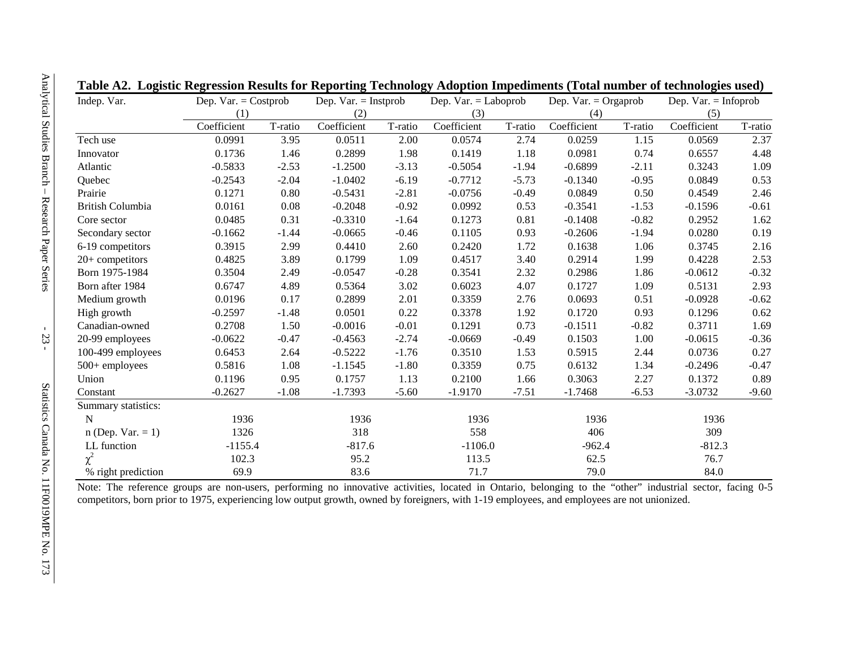| Indep. Var.             | Dep. Var. $=$ Costprob |         | Dep. Var. $=$ Instprob |         | Dep. Var. $=$ Laboprob |         | Dep. $Var = Organprob$ |         | Dep. Var. $=$ Infoprob |         |
|-------------------------|------------------------|---------|------------------------|---------|------------------------|---------|------------------------|---------|------------------------|---------|
|                         | (1)                    |         | (2)                    |         | (3)                    |         | (4)                    |         | (5)                    |         |
|                         | Coefficient            | T-ratio | Coefficient            | T-ratio | Coefficient            | T-ratio | Coefficient            | T-ratio | Coefficient            | T-ratio |
| Tech use                | 0.0991                 | 3.95    | 0.0511                 | 2.00    | 0.0574                 | 2.74    | 0.0259                 | 1.15    | 0.0569                 | 2.37    |
| Innovator               | 0.1736                 | 1.46    | 0.2899                 | 1.98    | 0.1419                 | 1.18    | 0.0981                 | 0.74    | 0.6557                 | 4.48    |
| Atlantic                | $-0.5833$              | $-2.53$ | $-1.2500$              | $-3.13$ | $-0.5054$              | $-1.94$ | $-0.6899$              | $-2.11$ | 0.3243                 | 1.09    |
| Quebec                  | $-0.2543$              | $-2.04$ | $-1.0402$              | $-6.19$ | $-0.7712$              | $-5.73$ | $-0.1340$              | $-0.95$ | 0.0849                 | 0.53    |
| Prairie                 | 0.1271                 | 0.80    | $-0.5431$              | $-2.81$ | $-0.0756$              | $-0.49$ | 0.0849                 | 0.50    | 0.4549                 | 2.46    |
| <b>British Columbia</b> | 0.0161                 | 0.08    | $-0.2048$              | $-0.92$ | 0.0992                 | 0.53    | $-0.3541$              | $-1.53$ | $-0.1596$              | $-0.61$ |
| Core sector             | 0.0485                 | 0.31    | $-0.3310$              | $-1.64$ | 0.1273                 | 0.81    | $-0.1408$              | $-0.82$ | 0.2952                 | 1.62    |
| Secondary sector        | $-0.1662$              | $-1.44$ | $-0.0665$              | $-0.46$ | 0.1105                 | 0.93    | $-0.2606$              | $-1.94$ | 0.0280                 | 0.19    |
| 6-19 competitors        | 0.3915                 | 2.99    | 0.4410                 | 2.60    | 0.2420                 | 1.72    | 0.1638                 | 1.06    | 0.3745                 | 2.16    |
| $20+$ competitors       | 0.4825                 | 3.89    | 0.1799                 | 1.09    | 0.4517                 | 3.40    | 0.2914                 | 1.99    | 0.4228                 | 2.53    |
| Born 1975-1984          | 0.3504                 | 2.49    | $-0.0547$              | $-0.28$ | 0.3541                 | 2.32    | 0.2986                 | 1.86    | $-0.0612$              | $-0.32$ |
| Born after 1984         | 0.6747                 | 4.89    | 0.5364                 | 3.02    | 0.6023                 | 4.07    | 0.1727                 | 1.09    | 0.5131                 | 2.93    |
| Medium growth           | 0.0196                 | 0.17    | 0.2899                 | 2.01    | 0.3359                 | 2.76    | 0.0693                 | 0.51    | $-0.0928$              | $-0.62$ |
| High growth             | $-0.2597$              | $-1.48$ | 0.0501                 | 0.22    | 0.3378                 | 1.92    | 0.1720                 | 0.93    | 0.1296                 | 0.62    |
| Canadian-owned          | 0.2708                 | 1.50    | $-0.0016$              | $-0.01$ | 0.1291                 | 0.73    | $-0.1511$              | $-0.82$ | 0.3711                 | 1.69    |
| 20-99 employees         | $-0.0622$              | $-0.47$ | $-0.4563$              | $-2.74$ | $-0.0669$              | $-0.49$ | 0.1503                 | 1.00    | $-0.0615$              | $-0.36$ |
| 100-499 employees       | 0.6453                 | 2.64    | $-0.5222$              | $-1.76$ | 0.3510                 | 1.53    | 0.5915                 | 2.44    | 0.0736                 | 0.27    |
| 500+ employees          | 0.5816                 | 1.08    | $-1.1545$              | $-1.80$ | 0.3359                 | 0.75    | 0.6132                 | 1.34    | $-0.2496$              | $-0.47$ |
| Union                   | 0.1196                 | 0.95    | 0.1757                 | 1.13    | 0.2100                 | 1.66    | 0.3063                 | 2.27    | 0.1372                 | 0.89    |
| Constant                | $-0.2627$              | $-1.08$ | $-1.7393$              | $-5.60$ | $-1.9170$              | $-7.51$ | $-1.7468$              | $-6.53$ | $-3.0732$              | $-9.60$ |
| Summary statistics:     |                        |         |                        |         |                        |         |                        |         |                        |         |
| N                       | 1936                   |         | 1936                   |         | 1936                   |         | 1936                   |         | 1936                   |         |
| $n (Dep. Var. = 1)$     | 1326                   |         | 318                    |         | 558                    |         | 406                    |         | 309                    |         |
| LL function             | $-1155.4$              |         | $-817.6$               |         | $-1106.0$              |         | $-962.4$               |         | $-812.3$               |         |
| $\chi^2$                | 102.3                  |         | 95.2                   |         | 113.5                  |         | 62.5                   |         | 76.7                   |         |
| % right prediction      | 69.9                   |         | 83.6                   |         | 71.7                   |         | 79.0                   |         | 84.0                   |         |

**Table A2. Logistic Regression Results for Reporting Technology Adoption Impediments (Total number of technologies used)**

Note: The reference groups are non-users, performing no innovative activities, located in Ontario, belonging to the "other" industrial sector, facing 0-5 competitors, born prior to 1975, experiencing low output growth, owned by foreigners, with 1-19 employees, and employees are not unionized.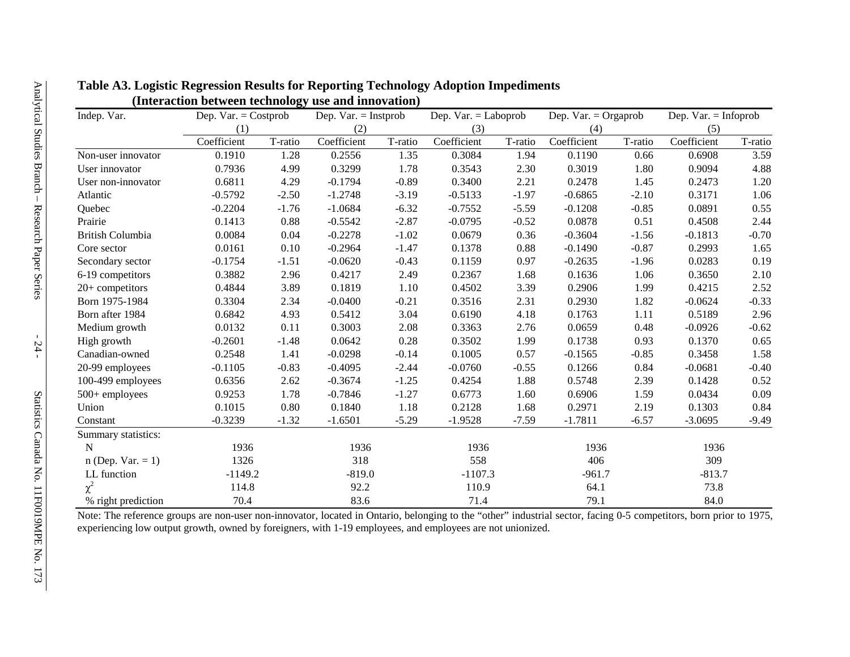| Indep. Var.            | Dep. $Var = Costprob$ |         | Dep. Var. $=$ Instprob |         | Dep. Var. $=$ Laboprob |         | Dep. $Var = Organprob$ |         | Dep. Var. $=$ Infoprob |         |
|------------------------|-----------------------|---------|------------------------|---------|------------------------|---------|------------------------|---------|------------------------|---------|
|                        | (1)                   |         | (2)                    |         | (3)                    |         | (4)                    |         | (5)                    |         |
|                        | Coefficient           | T-ratio | Coefficient            | T-ratio | Coefficient            | T-ratio | Coefficient            | T-ratio | Coefficient            | T-ratio |
| Non-user innovator     | 0.1910                | 1.28    | 0.2556                 | 1.35    | 0.3084                 | 1.94    | 0.1190                 | 0.66    | 0.6908                 | 3.59    |
| User innovator         | 0.7936                | 4.99    | 0.3299                 | 1.78    | 0.3543                 | 2.30    | 0.3019                 | 1.80    | 0.9094                 | 4.88    |
| User non-innovator     | 0.6811                | 4.29    | $-0.1794$              | $-0.89$ | 0.3400                 | 2.21    | 0.2478                 | 1.45    | 0.2473                 | 1.20    |
| Atlantic               | $-0.5792$             | $-2.50$ | $-1.2748$              | $-3.19$ | $-0.5133$              | $-1.97$ | $-0.6865$              | $-2.10$ | 0.3171                 | 1.06    |
| Quebec                 | $-0.2204$             | $-1.76$ | $-1.0684$              | $-6.32$ | $-0.7552$              | $-5.59$ | $-0.1208$              | $-0.85$ | 0.0891                 | 0.55    |
| Prairie                | 0.1413                | 0.88    | $-0.5542$              | $-2.87$ | $-0.0795$              | $-0.52$ | 0.0878                 | 0.51    | 0.4508                 | 2.44    |
| British Columbia       | 0.0084                | 0.04    | $-0.2278$              | $-1.02$ | 0.0679                 | 0.36    | $-0.3604$              | $-1.56$ | $-0.1813$              | $-0.70$ |
| Core sector            | 0.0161                | 0.10    | $-0.2964$              | $-1.47$ | 0.1378                 | 0.88    | $-0.1490$              | $-0.87$ | 0.2993                 | 1.65    |
| Secondary sector       | $-0.1754$             | $-1.51$ | $-0.0620$              | $-0.43$ | 0.1159                 | 0.97    | $-0.2635$              | $-1.96$ | 0.0283                 | 0.19    |
| 6-19 competitors       | 0.3882                | 2.96    | 0.4217                 | 2.49    | 0.2367                 | 1.68    | 0.1636                 | 1.06    | 0.3650                 | 2.10    |
| $20+$ competitors      | 0.4844                | 3.89    | 0.1819                 | 1.10    | 0.4502                 | 3.39    | 0.2906                 | 1.99    | 0.4215                 | 2.52    |
| Born 1975-1984         | 0.3304                | 2.34    | $-0.0400$              | $-0.21$ | 0.3516                 | 2.31    | 0.2930                 | 1.82    | $-0.0624$              | $-0.33$ |
| Born after 1984        | 0.6842                | 4.93    | 0.5412                 | 3.04    | 0.6190                 | 4.18    | 0.1763                 | 1.11    | 0.5189                 | 2.96    |
| Medium growth          | 0.0132                | 0.11    | 0.3003                 | 2.08    | 0.3363                 | 2.76    | 0.0659                 | 0.48    | $-0.0926$              | $-0.62$ |
| High growth            | $-0.2601$             | $-1.48$ | 0.0642                 | 0.28    | 0.3502                 | 1.99    | 0.1738                 | 0.93    | 0.1370                 | 0.65    |
| Canadian-owned         | 0.2548                | 1.41    | $-0.0298$              | $-0.14$ | 0.1005                 | 0.57    | $-0.1565$              | $-0.85$ | 0.3458                 | 1.58    |
| 20-99 employees        | $-0.1105$             | $-0.83$ | $-0.4095$              | $-2.44$ | $-0.0760$              | $-0.55$ | 0.1266                 | 0.84    | $-0.0681$              | $-0.40$ |
| 100-499 employees      | 0.6356                | 2.62    | $-0.3674$              | $-1.25$ | 0.4254                 | 1.88    | 0.5748                 | 2.39    | 0.1428                 | 0.52    |
| 500+ employees         | 0.9253                | 1.78    | $-0.7846$              | $-1.27$ | 0.6773                 | 1.60    | 0.6906                 | 1.59    | 0.0434                 | 0.09    |
| Union                  | 0.1015                | 0.80    | 0.1840                 | 1.18    | 0.2128                 | 1.68    | 0.2971                 | 2.19    | 0.1303                 | 0.84    |
| Constant               | $-0.3239$             | $-1.32$ | $-1.6501$              | $-5.29$ | $-1.9528$              | $-7.59$ | $-1.7811$              | $-6.57$ | $-3.0695$              | $-9.49$ |
| Summary statistics:    |                       |         |                        |         |                        |         |                        |         |                        |         |
| N                      | 1936                  |         | 1936                   |         | 1936                   |         | 1936                   |         | 1936                   |         |
| $n$ (Dep. Var. $= 1$ ) | 1326                  |         | 318                    |         | 558                    |         | 406                    |         | 309                    |         |
| LL function            | $-1149.2$             |         | $-819.0$               |         | $-1107.3$              |         | $-961.7$               |         | $-813.7$               |         |
| $\chi^2$               | 114.8                 |         | 92.2                   |         | 110.9                  |         | 64.1                   |         | 73.8                   |         |
| % right prediction     | 70.4                  |         | 83.6                   |         | 71.4                   |         | 79.1                   |         | 84.0                   |         |

#### **Table A3. Logistic Regression Results for Reporting Technology Adoption Impediments (Interaction between technology use and innovation)**

Note: The reference groups are non-user non-innovator, located in Ontario, belonging to the "other" industrial sector, facing 0-5 competitors, born prior to 1975, experiencing low output growth, owned by foreigners, with 1-19 employees, and employees are not unionized.

 $\mathbf{I}$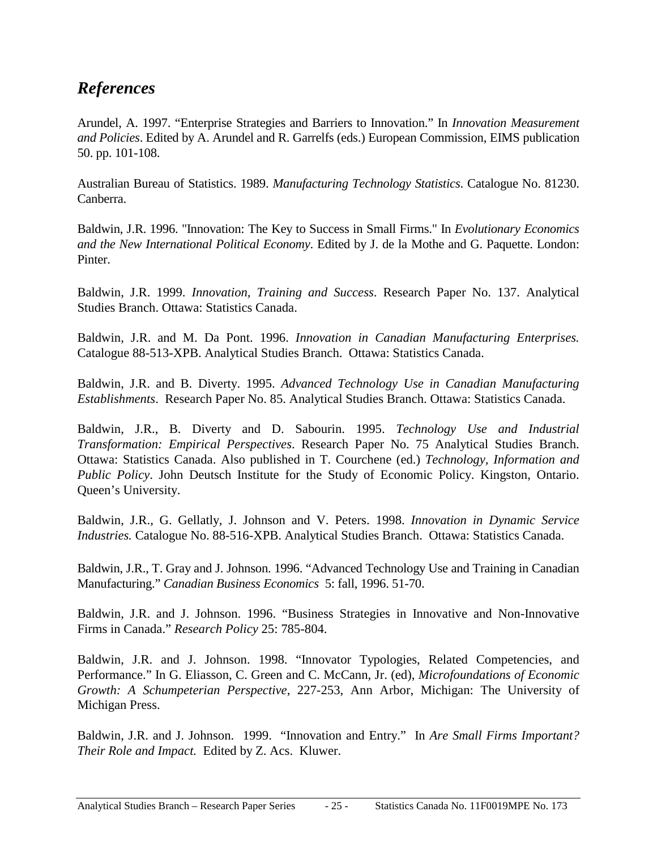## *References*

Arundel, A. 1997. "Enterprise Strategies and Barriers to Innovation." In *Innovation Measurement and Policies*. Edited by A. Arundel and R. Garrelfs (eds.) European Commission, EIMS publication 50. pp. 101-108.

Australian Bureau of Statistics. 1989. *Manufacturing Technology Statistics*. Catalogue No. 81230. Canberra.

Baldwin, J.R. 1996. "Innovation: The Key to Success in Small Firms." In *Evolutionary Economics and the New International Political Economy*. Edited by J. de la Mothe and G. Paquette. London: Pinter.

Baldwin, J.R. 1999. *Innovation, Training and Success*. Research Paper No. 137. Analytical Studies Branch. Ottawa: Statistics Canada.

Baldwin, J.R. and M. Da Pont. 1996. *Innovation in Canadian Manufacturing Enterprises.* Catalogue 88-513-XPB. Analytical Studies Branch. Ottawa: Statistics Canada.

Baldwin, J.R. and B. Diverty. 1995. *Advanced Technology Use in Canadian Manufacturing Establishments*. Research Paper No. 85. Analytical Studies Branch. Ottawa: Statistics Canada.

Baldwin, J.R., B. Diverty and D. Sabourin. 1995. *Technology Use and Industrial Transformation: Empirical Perspectives*. Research Paper No. 75 Analytical Studies Branch. Ottawa: Statistics Canada. Also published in T. Courchene (ed.) *Technology, Information and Public Policy*. John Deutsch Institute for the Study of Economic Policy. Kingston, Ontario. Queen's University.

Baldwin, J.R., G. Gellatly, J. Johnson and V. Peters. 1998. *Innovation in Dynamic Service Industries.* Catalogue No. 88-516-XPB. Analytical Studies Branch. Ottawa: Statistics Canada.

Baldwin, J.R., T. Gray and J. Johnson. 1996. "Advanced Technology Use and Training in Canadian Manufacturing." *Canadian Business Economics* 5: fall, 1996. 51-70.

Baldwin, J.R. and J. Johnson. 1996. "Business Strategies in Innovative and Non-Innovative Firms in Canada." *Research Policy* 25: 785-804.

Baldwin, J.R. and J. Johnson. 1998. "Innovator Typologies, Related Competencies, and Performance." In G. Eliasson, C. Green and C. McCann, Jr. (ed), *Microfoundations of Economic Growth: A Schumpeterian Perspective*, 227-253, Ann Arbor, Michigan: The University of Michigan Press.

Baldwin, J.R. and J. Johnson. 1999. "Innovation and Entry." In *Are Small Firms Important? Their Role and Impact.* Edited by Z. Acs. Kluwer.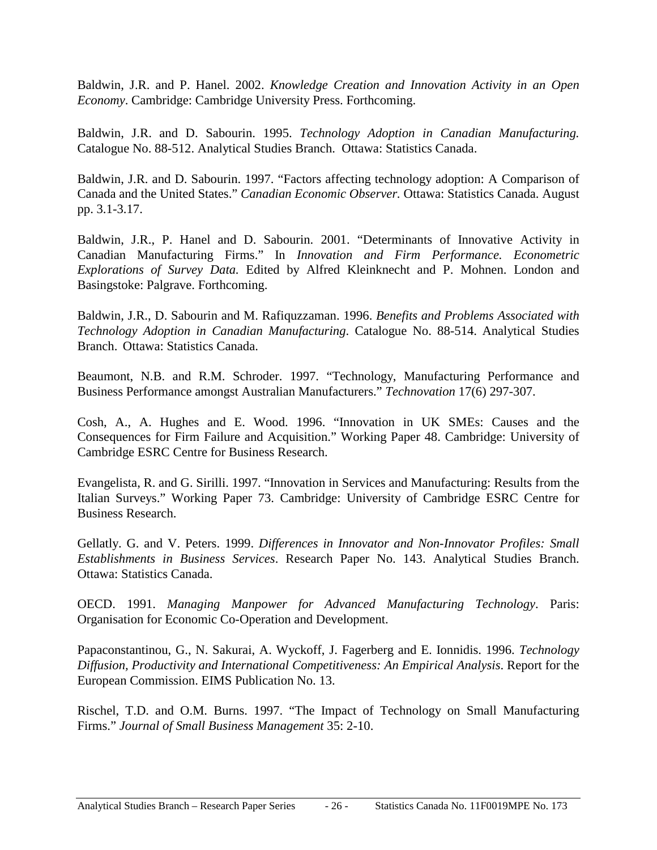Baldwin, J.R. and P. Hanel. 2002. *Knowledge Creation and Innovation Activity in an Open Economy*. Cambridge: Cambridge University Press. Forthcoming.

Baldwin, J.R. and D. Sabourin. 1995. *Technology Adoption in Canadian Manufacturing.* Catalogue No. 88-512. Analytical Studies Branch. Ottawa: Statistics Canada.

Baldwin, J.R. and D. Sabourin. 1997. "Factors affecting technology adoption: A Comparison of Canada and the United States." *Canadian Economic Observer.* Ottawa: Statistics Canada. August pp. 3.1-3.17.

Baldwin, J.R., P. Hanel and D. Sabourin. 2001. "Determinants of Innovative Activity in Canadian Manufacturing Firms." In *Innovation and Firm Performance. Econometric Explorations of Survey Data.* Edited by Alfred Kleinknecht and P. Mohnen. London and Basingstoke: Palgrave. Forthcoming.

Baldwin, J.R., D. Sabourin and M. Rafiquzzaman. 1996. *Benefits and Problems Associated with Technology Adoption in Canadian Manufacturing*. Catalogue No. 88-514. Analytical Studies Branch. Ottawa: Statistics Canada.

Beaumont, N.B. and R.M. Schroder. 1997. "Technology, Manufacturing Performance and Business Performance amongst Australian Manufacturers." *Technovation* 17(6) 297-307.

Cosh, A., A. Hughes and E. Wood. 1996. "Innovation in UK SMEs: Causes and the Consequences for Firm Failure and Acquisition." Working Paper 48. Cambridge: University of Cambridge ESRC Centre for Business Research.

Evangelista, R. and G. Sirilli. 1997. "Innovation in Services and Manufacturing: Results from the Italian Surveys." Working Paper 73. Cambridge: University of Cambridge ESRC Centre for Business Research.

Gellatly. G. and V. Peters. 1999. *Differences in Innovator and Non-Innovator Profiles: Small Establishments in Business Services*. Research Paper No. 143. Analytical Studies Branch. Ottawa: Statistics Canada.

OECD. 1991. *Managing Manpower for Advanced Manufacturing Technology*. Paris: Organisation for Economic Co-Operation and Development.

Papaconstantinou, G., N. Sakurai, A. Wyckoff, J. Fagerberg and E. Ionnidis. 1996. *Technology Diffusion, Productivity and International Competitiveness: An Empirical Analysis*. Report for the European Commission. EIMS Publication No. 13.

Rischel, T.D. and O.M. Burns. 1997. "The Impact of Technology on Small Manufacturing Firms." *Journal of Small Business Management* 35: 2-10.